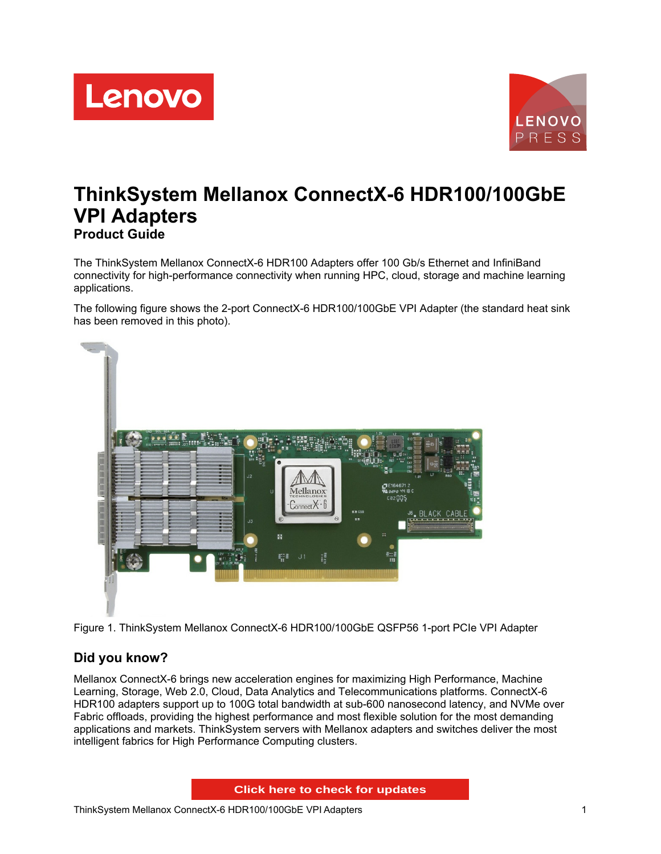



# **ThinkSystem Mellanox ConnectX-6 HDR100/100GbE VPI Adapters Product Guide**

The ThinkSystem Mellanox ConnectX-6 HDR100 Adapters offer 100 Gb/s Ethernet and InfiniBand connectivity for high-performance connectivity when running HPC, cloud, storage and machine learning applications.

The following figure shows the 2-port ConnectX-6 HDR100/100GbE VPI Adapter (the standard heat sink has been removed in this photo).



Figure 1. ThinkSystem Mellanox ConnectX-6 HDR100/100GbE QSFP56 1-port PCIe VPI Adapter

# **Did you know?**

Mellanox ConnectX-6 brings new acceleration engines for maximizing High Performance, Machine Learning, Storage, Web 2.0, Cloud, Data Analytics and Telecommunications platforms. ConnectX-6 HDR100 adapters support up to 100G total bandwidth at sub-600 nanosecond latency, and NVMe over Fabric offloads, providing the highest performance and most flexible solution for the most demanding applications and markets. ThinkSystem servers with Mellanox adapters and switches deliver the most intelligent fabrics for High Performance Computing clusters.

**Click here to check for updates**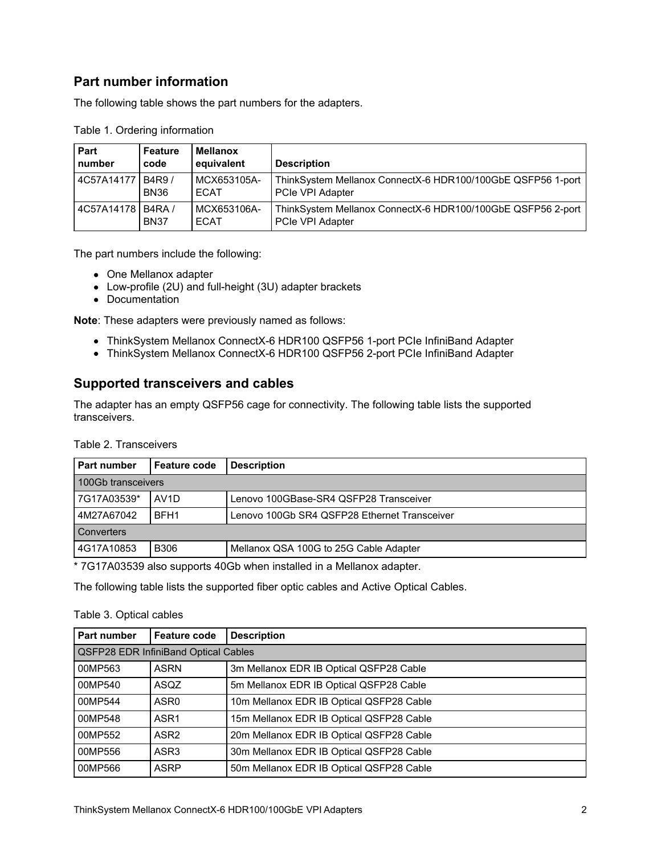### **Part number information**

The following table shows the part numbers for the adapters.

| Part<br>number    | Feature<br>code | <b>Mellanox</b><br>equivalent | <b>Description</b>                                                                     |
|-------------------|-----------------|-------------------------------|----------------------------------------------------------------------------------------|
| 4C57A14177 B4R9 / | <b>BN36</b>     | MCX653105A-<br><b>ECAT</b>    | ThinkSystem Mellanox ConnectX-6 HDR100/100GbE QSFP56 1-port<br><b>PCIe VPI Adapter</b> |
| 4C57A14178 B4RA / | <b>BN37</b>     | MCX653106A-<br><b>ECAT</b>    | ThinkSystem Mellanox ConnectX-6 HDR100/100GbE QSFP56 2-port<br><b>PCIe VPI Adapter</b> |

Table 1. Ordering information

The part numbers include the following:

- One Mellanox adapter
- Low-profile (2U) and full-height (3U) adapter brackets
- Documentation

**Note**: These adapters were previously named as follows:

- ThinkSystem Mellanox ConnectX-6 HDR100 QSFP56 1-port PCIe InfiniBand Adapter
- ThinkSystem Mellanox ConnectX-6 HDR100 QSFP56 2-port PCIe InfiniBand Adapter

### **Supported transceivers and cables**

The adapter has an empty QSFP56 cage for connectivity. The following table lists the supported transceivers.

| Part number        | <b>Feature code</b>                                   | <b>Description</b>                     |  |  |  |  |  |  |  |  |
|--------------------|-------------------------------------------------------|----------------------------------------|--|--|--|--|--|--|--|--|
| 100Gb transceivers |                                                       |                                        |  |  |  |  |  |  |  |  |
| 7G17A03539*        | AV <sub>1</sub> D                                     | Lenovo 100GBase-SR4 QSFP28 Transceiver |  |  |  |  |  |  |  |  |
| 4M27A67042         | Lenovo 100Gb SR4 QSFP28 Ethernet Transceiver          |                                        |  |  |  |  |  |  |  |  |
| Converters         |                                                       |                                        |  |  |  |  |  |  |  |  |
| 4G17A10853         | <b>B306</b><br>Mellanox QSA 100G to 25G Cable Adapter |                                        |  |  |  |  |  |  |  |  |

\* 7G17A03539 also supports 40Gb when installed in a Mellanox adapter.

The following table lists the supported fiber optic cables and Active Optical Cables.

#### Table 3. Optical cables

| Part number                                 | <b>Feature code</b> | <b>Description</b>                       |  |  |  |  |  |  |  |
|---------------------------------------------|---------------------|------------------------------------------|--|--|--|--|--|--|--|
| <b>QSFP28 EDR InfiniBand Optical Cables</b> |                     |                                          |  |  |  |  |  |  |  |
| 00MP563                                     | <b>ASRN</b>         | 3m Mellanox EDR IB Optical QSFP28 Cable  |  |  |  |  |  |  |  |
| 00MP540                                     | ASQZ                | 5m Mellanox EDR IB Optical QSFP28 Cable  |  |  |  |  |  |  |  |
| 00MP544                                     | ASR <sub>0</sub>    | 10m Mellanox EDR IB Optical QSFP28 Cable |  |  |  |  |  |  |  |
| 00MP548                                     | ASR <sub>1</sub>    | 15m Mellanox EDR IB Optical QSFP28 Cable |  |  |  |  |  |  |  |
| 00MP552                                     | ASR <sub>2</sub>    | 20m Mellanox EDR IB Optical QSFP28 Cable |  |  |  |  |  |  |  |
| 00MP556                                     | ASR3                | 30m Mellanox EDR IB Optical QSFP28 Cable |  |  |  |  |  |  |  |
| 00MP566                                     | <b>ASRP</b>         | 50m Mellanox EDR IB Optical QSFP28 Cable |  |  |  |  |  |  |  |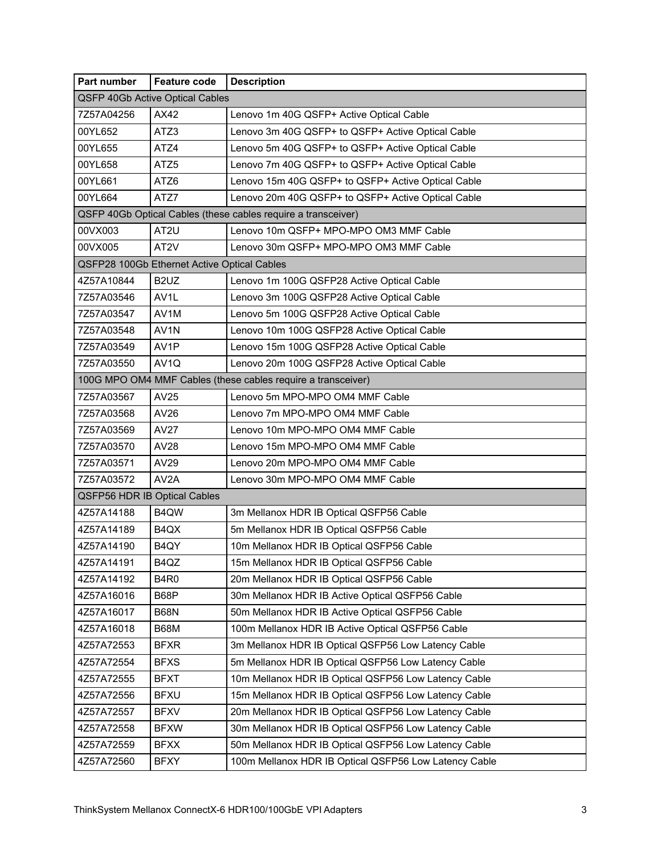| Part number                         | <b>Feature code</b>                         | <b>Description</b>                                            |
|-------------------------------------|---------------------------------------------|---------------------------------------------------------------|
|                                     | QSFP 40Gb Active Optical Cables             |                                                               |
| 7Z57A04256                          | AX42                                        | Lenovo 1m 40G QSFP+ Active Optical Cable                      |
| 00YL652                             | ATZ3                                        | Lenovo 3m 40G QSFP+ to QSFP+ Active Optical Cable             |
| 00YL655                             | ATZ4                                        | Lenovo 5m 40G QSFP+ to QSFP+ Active Optical Cable             |
| 00YL658                             | ATZ <sub>5</sub>                            | Lenovo 7m 40G QSFP+ to QSFP+ Active Optical Cable             |
| 00YL661                             | ATZ6                                        | Lenovo 15m 40G QSFP+ to QSFP+ Active Optical Cable            |
| 00YL664                             | ATZ7                                        | Lenovo 20m 40G QSFP+ to QSFP+ Active Optical Cable            |
|                                     |                                             | QSFP 40Gb Optical Cables (these cables require a transceiver) |
| 00VX003                             | AT <sub>2U</sub>                            | Lenovo 10m QSFP+ MPO-MPO OM3 MMF Cable                        |
| 00VX005                             | AT2V                                        | Lenovo 30m QSFP+ MPO-MPO OM3 MMF Cable                        |
|                                     | QSFP28 100Gb Ethernet Active Optical Cables |                                                               |
| 4Z57A10844                          | B <sub>2</sub> UZ                           | Lenovo 1m 100G QSFP28 Active Optical Cable                    |
| 7Z57A03546                          | AV <sub>1</sub> L                           | Lenovo 3m 100G QSFP28 Active Optical Cable                    |
| 7Z57A03547                          | AV1M                                        | Lenovo 5m 100G QSFP28 Active Optical Cable                    |
| 7Z57A03548                          | AV <sub>1</sub> N                           | Lenovo 10m 100G QSFP28 Active Optical Cable                   |
| 7Z57A03549                          | AV1P                                        | Lenovo 15m 100G QSFP28 Active Optical Cable                   |
| 7Z57A03550                          | AV <sub>1Q</sub>                            | Lenovo 20m 100G QSFP28 Active Optical Cable                   |
|                                     |                                             | 100G MPO OM4 MMF Cables (these cables require a transceiver)  |
| 7Z57A03567                          | AV25                                        | Lenovo 5m MPO-MPO OM4 MMF Cable                               |
| 7Z57A03568                          | AV26                                        | Lenovo 7m MPO-MPO OM4 MMF Cable                               |
| 7Z57A03569                          | <b>AV27</b>                                 | Lenovo 10m MPO-MPO OM4 MMF Cable                              |
| 7Z57A03570                          | <b>AV28</b>                                 | Lenovo 15m MPO-MPO OM4 MMF Cable                              |
| 7Z57A03571                          | AV29                                        | Lenovo 20m MPO-MPO OM4 MMF Cable                              |
| 7Z57A03572                          | AV <sub>2</sub> A                           | Lenovo 30m MPO-MPO OM4 MMF Cable                              |
| <b>QSFP56 HDR IB Optical Cables</b> |                                             |                                                               |
| 4Z57A14188                          | B4QW                                        | 3m Mellanox HDR IB Optical QSFP56 Cable                       |
| 4Z57A14189                          | B4QX                                        | 5m Mellanox HDR IB Optical QSFP56 Cable                       |
| 4Z57A14190                          | B4QY                                        | 10m Mellanox HDR IB Optical QSFP56 Cable                      |
| 4Z57A14191                          | B4QZ                                        | 15m Mellanox HDR IB Optical QSFP56 Cable                      |
| 4Z57A14192                          | <b>B4R0</b>                                 | 20m Mellanox HDR IB Optical QSFP56 Cable                      |
| 4Z57A16016                          | B68P                                        | 30m Mellanox HDR IB Active Optical QSFP56 Cable               |
| 4Z57A16017                          | B68N                                        | 50m Mellanox HDR IB Active Optical QSFP56 Cable               |
| 4Z57A16018                          | B68M                                        | 100m Mellanox HDR IB Active Optical QSFP56 Cable              |
| 4Z57A72553                          | <b>BFXR</b>                                 | 3m Mellanox HDR IB Optical QSFP56 Low Latency Cable           |
| 4Z57A72554                          | <b>BFXS</b>                                 | 5m Mellanox HDR IB Optical QSFP56 Low Latency Cable           |
| 4Z57A72555                          | <b>BFXT</b>                                 | 10m Mellanox HDR IB Optical QSFP56 Low Latency Cable          |
| 4Z57A72556                          | <b>BFXU</b>                                 | 15m Mellanox HDR IB Optical QSFP56 Low Latency Cable          |
| 4Z57A72557                          | <b>BFXV</b>                                 | 20m Mellanox HDR IB Optical QSFP56 Low Latency Cable          |
| 4Z57A72558                          | <b>BFXW</b>                                 | 30m Mellanox HDR IB Optical QSFP56 Low Latency Cable          |
| 4Z57A72559                          | <b>BFXX</b>                                 | 50m Mellanox HDR IB Optical QSFP56 Low Latency Cable          |
| 4Z57A72560                          | <b>BFXY</b>                                 | 100m Mellanox HDR IB Optical QSFP56 Low Latency Cable         |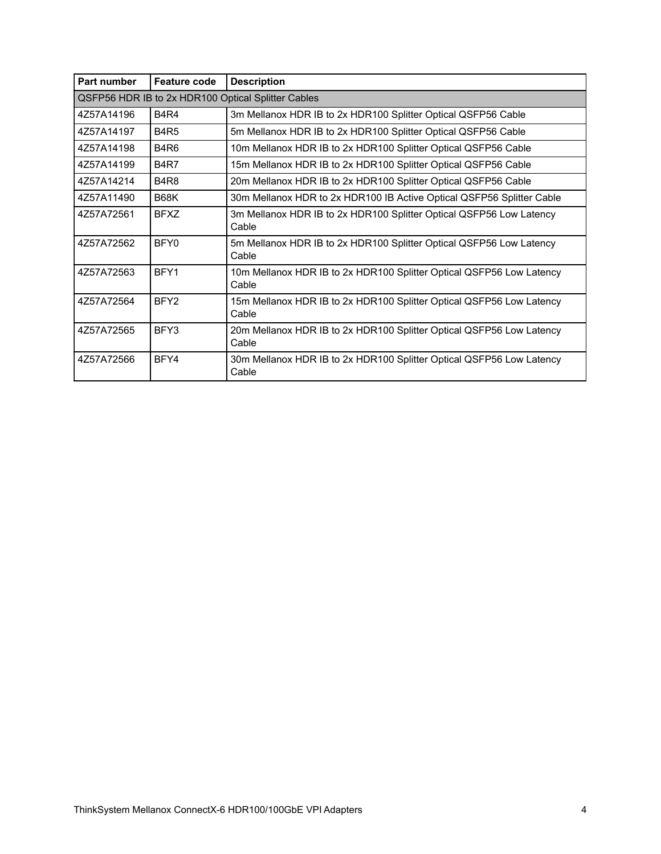| Part number | <b>Feature code</b> | <b>Description</b>                                                            |
|-------------|---------------------|-------------------------------------------------------------------------------|
|             |                     | QSFP56 HDR IB to 2x HDR100 Optical Splitter Cables                            |
| 4Z57A14196  | <b>B4R4</b>         | 3m Mellanox HDR IB to 2x HDR100 Splitter Optical QSFP56 Cable                 |
| 4757A14197  | <b>B4R5</b>         | 5m Mellanox HDR IB to 2x HDR100 Splitter Optical QSFP56 Cable                 |
| 4Z57A14198  | <b>B4R6</b>         | 10m Mellanox HDR IB to 2x HDR100 Splitter Optical QSFP56 Cable                |
| 4Z57A14199  | <b>B4R7</b>         | 15m Mellanox HDR IB to 2x HDR100 Splitter Optical QSFP56 Cable                |
| 4Z57A14214  | <b>B4R8</b>         | 20m Mellanox HDR IB to 2x HDR100 Splitter Optical QSFP56 Cable                |
| 4Z57A11490  | <b>B68K</b>         | 30m Mellanox HDR to 2x HDR100 IB Active Optical QSFP56 Splitter Cable         |
| 4Z57A72561  | <b>BFXZ</b>         | 3m Mellanox HDR IB to 2x HDR100 Splitter Optical QSFP56 Low Latency<br>Cable  |
| 4757A72562  | BFY0                | 5m Mellanox HDR IB to 2x HDR100 Splitter Optical QSFP56 Low Latency<br>Cable  |
| 4Z57A72563  | BFY1                | 10m Mellanox HDR IB to 2x HDR100 Splitter Optical QSFP56 Low Latency<br>Cable |
| 4Z57A72564  | BFY <sub>2</sub>    | 15m Mellanox HDR IB to 2x HDR100 Splitter Optical QSFP56 Low Latency<br>Cable |
| 4Z57A72565  | BFY3                | 20m Mellanox HDR IB to 2x HDR100 Splitter Optical QSFP56 Low Latency<br>Cable |
| 4Z57A72566  | BFY4                | 30m Mellanox HDR IB to 2x HDR100 Splitter Optical QSFP56 Low Latency<br>Cable |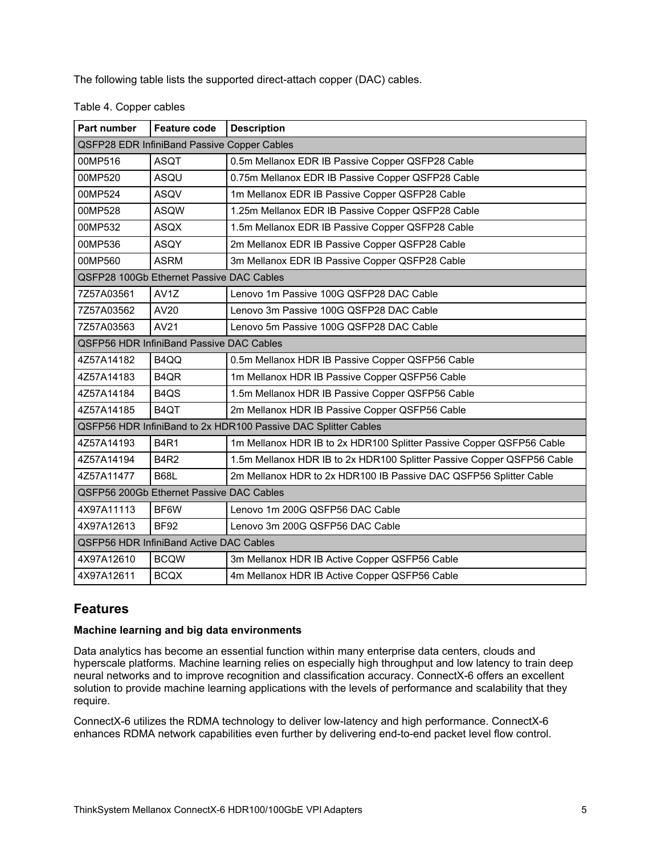The following table lists the supported direct-attach copper (DAC) cables.

| Table 4. Copper cables |  |
|------------------------|--|
|------------------------|--|

| Part number | <b>Feature code</b>                                | <b>Description</b>                                                     |
|-------------|----------------------------------------------------|------------------------------------------------------------------------|
|             | <b>QSFP28 EDR InfiniBand Passive Copper Cables</b> |                                                                        |
| 00MP516     | <b>ASQT</b>                                        | 0.5m Mellanox EDR IB Passive Copper QSFP28 Cable                       |
| 00MP520     | ASQU                                               | 0.75m Mellanox EDR IB Passive Copper QSFP28 Cable                      |
| 00MP524     | <b>ASQV</b>                                        | 1m Mellanox EDR IB Passive Copper QSFP28 Cable                         |
| 00MP528     | <b>ASQW</b>                                        | 1.25m Mellanox EDR IB Passive Copper QSFP28 Cable                      |
| 00MP532     | <b>ASQX</b>                                        | 1.5m Mellanox EDR IB Passive Copper QSFP28 Cable                       |
| 00MP536     | ASQY                                               | 2m Mellanox EDR IB Passive Copper QSFP28 Cable                         |
| 00MP560     | <b>ASRM</b>                                        | 3m Mellanox EDR IB Passive Copper QSFP28 Cable                         |
|             | QSFP28 100Gb Ethernet Passive DAC Cables           |                                                                        |
| 7Z57A03561  | AV <sub>1</sub> Z                                  | Lenovo 1m Passive 100G QSFP28 DAC Cable                                |
| 7Z57A03562  | AV20                                               | Lenovo 3m Passive 100G QSFP28 DAC Cable                                |
| 7Z57A03563  | AV21                                               | Lenovo 5m Passive 100G QSFP28 DAC Cable                                |
|             | <b>QSFP56 HDR InfiniBand Passive DAC Cables</b>    |                                                                        |
| 4Z57A14182  | B4QQ                                               | 0.5m Mellanox HDR IB Passive Copper QSFP56 Cable                       |
| 4Z57A14183  | B <sub>4QR</sub>                                   | 1m Mellanox HDR IB Passive Copper QSFP56 Cable                         |
| 4Z57A14184  | B <sub>4Q</sub> S                                  | 1.5m Mellanox HDR IB Passive Copper QSFP56 Cable                       |
| 4Z57A14185  | B <sub>4</sub> QT                                  | 2m Mellanox HDR IB Passive Copper QSFP56 Cable                         |
|             |                                                    | QSFP56 HDR InfiniBand to 2x HDR100 Passive DAC Splitter Cables         |
| 4Z57A14193  | <b>B4R1</b>                                        | 1m Mellanox HDR IB to 2x HDR100 Splitter Passive Copper QSFP56 Cable   |
| 4Z57A14194  | <b>B4R2</b>                                        | 1.5m Mellanox HDR IB to 2x HDR100 Splitter Passive Copper QSFP56 Cable |
| 4Z57A11477  | <b>B68L</b>                                        | 2m Mellanox HDR to 2x HDR100 IB Passive DAC QSFP56 Splitter Cable      |
|             | QSFP56 200Gb Ethernet Passive DAC Cables           |                                                                        |
| 4X97A11113  | BF6W                                               | Lenovo 1m 200G QSFP56 DAC Cable                                        |
| 4X97A12613  | <b>BF92</b>                                        | Lenovo 3m 200G QSFP56 DAC Cable                                        |
|             | QSFP56 HDR InfiniBand Active DAC Cables            |                                                                        |
| 4X97A12610  | <b>BCQW</b>                                        | 3m Mellanox HDR IB Active Copper QSFP56 Cable                          |
| 4X97A12611  | <b>BCQX</b>                                        | 4m Mellanox HDR IB Active Copper QSFP56 Cable                          |

### **Features**

#### **Machine learning and big data environments**

Data analytics has become an essential function within many enterprise data centers, clouds and hyperscale platforms. Machine learning relies on especially high throughput and low latency to train deep neural networks and to improve recognition and classification accuracy. ConnectX-6 offers an excellent solution to provide machine learning applications with the levels of performance and scalability that they require.

ConnectX-6 utilizes the RDMA technology to deliver low-latency and high performance. ConnectX-6 enhances RDMA network capabilities even further by delivering end-to-end packet level flow control.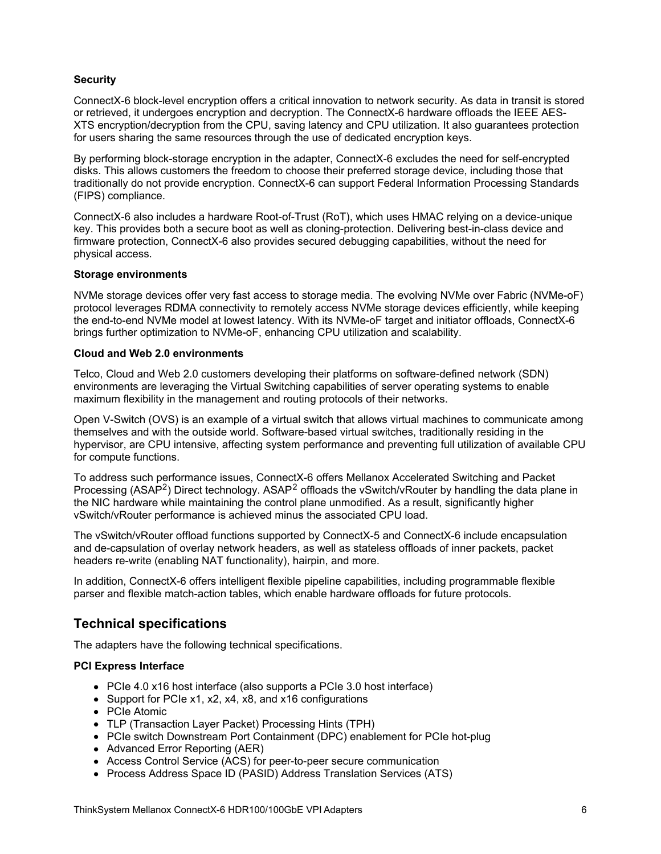#### **Security**

ConnectX-6 block-level encryption offers a critical innovation to network security. As data in transit is stored or retrieved, it undergoes encryption and decryption. The ConnectX-6 hardware offloads the IEEE AES-XTS encryption/decryption from the CPU, saving latency and CPU utilization. It also guarantees protection for users sharing the same resources through the use of dedicated encryption keys.

By performing block-storage encryption in the adapter, ConnectX-6 excludes the need for self-encrypted disks. This allows customers the freedom to choose their preferred storage device, including those that traditionally do not provide encryption. ConnectX-6 can support Federal Information Processing Standards (FIPS) compliance.

ConnectX-6 also includes a hardware Root-of-Trust (RoT), which uses HMAC relying on a device-unique key. This provides both a secure boot as well as cloning-protection. Delivering best-in-class device and firmware protection, ConnectX-6 also provides secured debugging capabilities, without the need for physical access.

#### **Storage environments**

NVMe storage devices offer very fast access to storage media. The evolving NVMe over Fabric (NVMe-oF) protocol leverages RDMA connectivity to remotely access NVMe storage devices efficiently, while keeping the end-to-end NVMe model at lowest latency. With its NVMe-oF target and initiator offloads, ConnectX-6 brings further optimization to NVMe-oF, enhancing CPU utilization and scalability.

#### **Cloud and Web 2.0 environments**

Telco, Cloud and Web 2.0 customers developing their platforms on software-defined network (SDN) environments are leveraging the Virtual Switching capabilities of server operating systems to enable maximum flexibility in the management and routing protocols of their networks.

Open V-Switch (OVS) is an example of a virtual switch that allows virtual machines to communicate among themselves and with the outside world. Software-based virtual switches, traditionally residing in the hypervisor, are CPU intensive, affecting system performance and preventing full utilization of available CPU for compute functions.

To address such performance issues, ConnectX-6 offers Mellanox Accelerated Switching and Packet Processing (ASAP<sup>2</sup>) Direct technology. ASAP<sup>2</sup> offloads the vSwitch/vRouter by handling the data plane in the NIC hardware while maintaining the control plane unmodified. As a result, significantly higher vSwitch/vRouter performance is achieved minus the associated CPU load.

The vSwitch/vRouter offload functions supported by ConnectX-5 and ConnectX-6 include encapsulation and de-capsulation of overlay network headers, as well as stateless offloads of inner packets, packet headers re-write (enabling NAT functionality), hairpin, and more.

In addition, ConnectX-6 offers intelligent flexible pipeline capabilities, including programmable flexible parser and flexible match-action tables, which enable hardware offloads for future protocols.

### **Technical specifications**

The adapters have the following technical specifications.

#### **PCI Express Interface**

- PCIe 4.0 x16 host interface (also supports a PCIe 3.0 host interface)
- Support for PCIe x1, x2, x4, x8, and x16 configurations
- PCIe Atomic
- TLP (Transaction Layer Packet) Processing Hints (TPH)
- PCIe switch Downstream Port Containment (DPC) enablement for PCIe hot-plug
- Advanced Error Reporting (AER)
- Access Control Service (ACS) for peer-to-peer secure communication
- Process Address Space ID (PASID) Address Translation Services (ATS)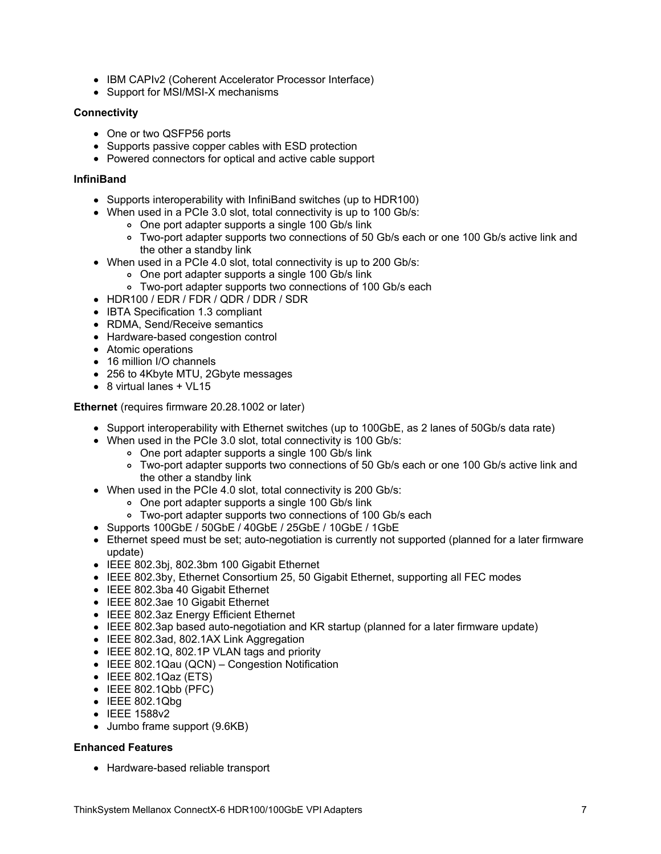- IBM CAPIv2 (Coherent Accelerator Processor Interface)
- Support for MSI/MSI-X mechanisms

#### **Connectivity**

- One or two QSFP56 ports
- Supports passive copper cables with ESD protection
- Powered connectors for optical and active cable support

#### **InfiniBand**

- Supports interoperability with InfiniBand switches (up to HDR100)
- When used in a PCIe 3.0 slot, total connectivity is up to 100 Gb/s:
	- One port adapter supports a single 100 Gb/s link
	- Two-port adapter supports two connections of 50 Gb/s each or one 100 Gb/s active link and the other a standby link
- When used in a PCIe 4.0 slot, total connectivity is up to 200 Gb/s:
	- One port adapter supports a single 100 Gb/s link
	- Two-port adapter supports two connections of 100 Gb/s each
- HDR100 / EDR / FDR / QDR / DDR / SDR
- IBTA Specification 1.3 compliant
- RDMA, Send/Receive semantics
- Hardware-based congestion control
- Atomic operations
- 16 million I/O channels
- 256 to 4Kbyte MTU, 2Gbyte messages
- 8 virtual lanes + VL15

**Ethernet** (requires firmware 20.28.1002 or later)

- Support interoperability with Ethernet switches (up to 100GbE, as 2 lanes of 50Gb/s data rate)
- When used in the PCIe 3.0 slot, total connectivity is 100 Gb/s:
	- One port adapter supports a single 100 Gb/s link
	- Two-port adapter supports two connections of 50 Gb/s each or one 100 Gb/s active link and the other a standby link
- When used in the PCIe 4.0 slot, total connectivity is 200 Gb/s:
	- One port adapter supports a single 100 Gb/s link
	- Two-port adapter supports two connections of 100 Gb/s each
- Supports 100GbE / 50GbE / 40GbE / 25GbE / 10GbE / 1GbE
- Ethernet speed must be set; auto-negotiation is currently not supported (planned for a later firmware update)
- IEEE 802.3bj, 802.3bm 100 Gigabit Ethernet
- IEEE 802.3by, Ethernet Consortium 25, 50 Gigabit Ethernet, supporting all FEC modes
- IEEE 802.3ba 40 Gigabit Ethernet
- IEEE 802.3ae 10 Gigabit Ethernet
- IEEE 802.3az Energy Efficient Ethernet
- IEEE 802.3ap based auto-negotiation and KR startup (planned for a later firmware update)
- IEEE 802.3ad, 802.1AX Link Aggregation
- IEEE 802.1Q, 802.1P VLAN tags and priority
- IEEE 802.1Qau (QCN) Congestion Notification
- IEEE 802.1Qaz (ETS)
- $\bullet$  IEEE 802.1Qbb (PFC)
- $\bullet$  IEEE 802.1Qbg
- IEEE 1588v2
- Jumbo frame support (9.6KB)

#### **Enhanced Features**

• Hardware-based reliable transport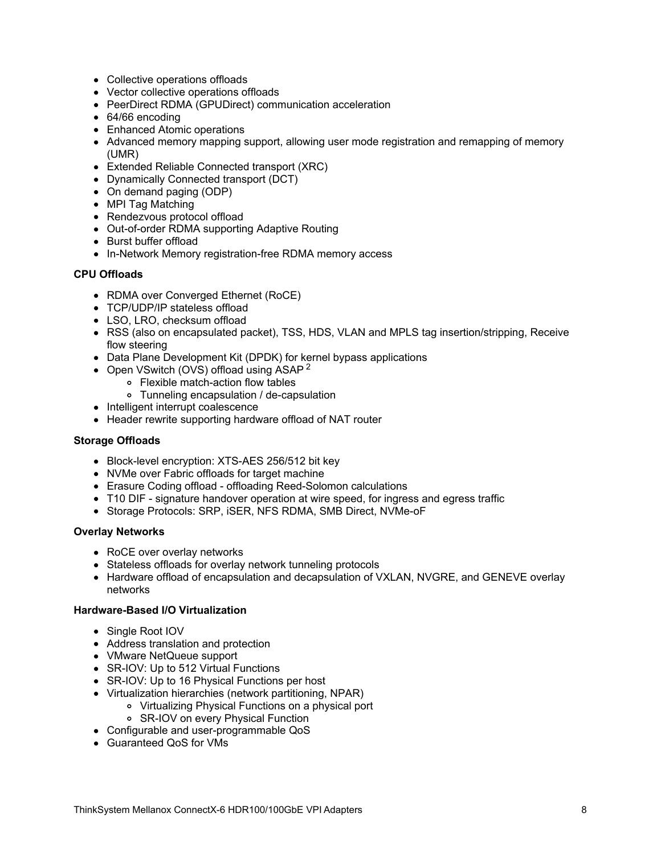- Collective operations offloads
- Vector collective operations offloads
- PeerDirect RDMA (GPUDirect) communication acceleration
- 64/66 encoding
- Enhanced Atomic operations
- Advanced memory mapping support, allowing user mode registration and remapping of memory (UMR)
- Extended Reliable Connected transport (XRC)
- Dynamically Connected transport (DCT)
- On demand paging (ODP)
- MPI Tag Matching
- Rendezvous protocol offload
- Out-of-order RDMA supporting Adaptive Routing
- Burst buffer offload
- In-Network Memory registration-free RDMA memory access

#### **CPU Offloads**

- RDMA over Converged Ethernet (RoCE)
- TCP/UDP/IP stateless offload
- LSO, LRO, checksum offload
- RSS (also on encapsulated packet), TSS, HDS, VLAN and MPLS tag insertion/stripping, Receive flow steering
- Data Plane Development Kit (DPDK) for kernel bypass applications
	- Open VSwitch (OVS) offload using ASAP<sup>2</sup>
		- Flexible match-action flow tables
		- Tunneling encapsulation / de-capsulation
- Intelligent interrupt coalescence
- Header rewrite supporting hardware offload of NAT router

#### **Storage Offloads**

- Block-level encryption: XTS-AES 256/512 bit key
- NVMe over Fabric offloads for target machine
- Erasure Coding offload offloading Reed-Solomon calculations
- T10 DIF signature handover operation at wire speed, for ingress and egress traffic
- Storage Protocols: SRP, iSER, NFS RDMA, SMB Direct, NVMe-oF

#### **Overlay Networks**

- RoCE over overlay networks
- Stateless offloads for overlay network tunneling protocols
- Hardware offload of encapsulation and decapsulation of VXLAN, NVGRE, and GENEVE overlay networks

#### **Hardware-Based I/O Virtualization**

- Single Root IOV
- Address translation and protection
- VMware NetQueue support
- SR-IOV: Up to 512 Virtual Functions
- SR-IOV: Up to 16 Physical Functions per host
- Virtualization hierarchies (network partitioning, NPAR)
	- Virtualizing Physical Functions on a physical port
		- SR-IOV on every Physical Function
- Configurable and user-programmable QoS
- Guaranteed QoS for VMs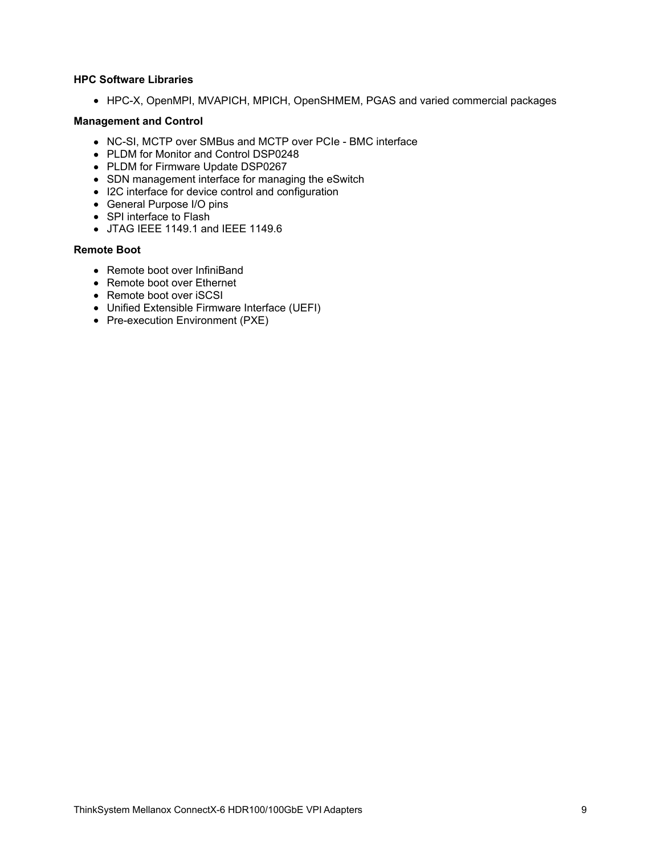#### **HPC Software Libraries**

HPC-X, OpenMPI, MVAPICH, MPICH, OpenSHMEM, PGAS and varied commercial packages

#### **Management and Control**

- NC-SI, MCTP over SMBus and MCTP over PCIe BMC interface
- PLDM for Monitor and Control DSP0248
- PLDM for Firmware Update DSP0267
- SDN management interface for managing the eSwitch
- I2C interface for device control and configuration
- General Purpose I/O pins
- SPI interface to Flash
- JTAG IEEE 1149.1 and IEEE 1149.6

#### **Remote Boot**

- Remote boot over InfiniBand
- Remote boot over Ethernet
- Remote boot over iSCSI
- Unified Extensible Firmware Interface (UEFI)
- Pre-execution Environment (PXE)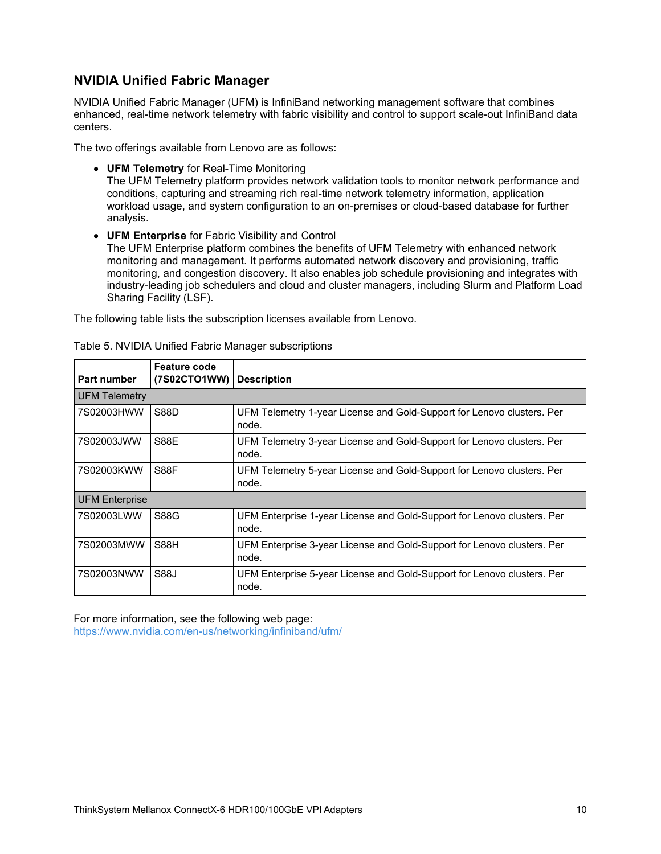## **NVIDIA Unified Fabric Manager**

NVIDIA Unified Fabric Manager (UFM) is InfiniBand networking management software that combines enhanced, real-time network telemetry with fabric visibility and control to support scale-out InfiniBand data centers.

The two offerings available from Lenovo are as follows:

**UFM Telemetry** for Real-Time Monitoring

The UFM Telemetry platform provides network validation tools to monitor network performance and conditions, capturing and streaming rich real-time network telemetry information, application workload usage, and system configuration to an on-premises or cloud-based database for further analysis.

**UFM Enterprise** for Fabric Visibility and Control The UFM Enterprise platform combines the benefits of UFM Telemetry with enhanced network monitoring and management. It performs automated network discovery and provisioning, traffic monitoring, and congestion discovery. It also enables job schedule provisioning and integrates with industry-leading job schedulers and cloud and cluster managers, including Slurm and Platform Load Sharing Facility (LSF).

The following table lists the subscription licenses available from Lenovo.

| Part number           | <b>Feature code</b><br>(7S02CTO1WW) | <b>Description</b>                                                               |
|-----------------------|-------------------------------------|----------------------------------------------------------------------------------|
| <b>UFM Telemetry</b>  |                                     |                                                                                  |
| 7S02003HWW            | <b>S88D</b>                         | UFM Telemetry 1-year License and Gold-Support for Lenovo clusters. Per<br>node.  |
| 7S02003JWW            | <b>S88E</b>                         | UFM Telemetry 3-year License and Gold-Support for Lenovo clusters. Per<br>node.  |
| 7S02003KWW            | S88F                                | UFM Telemetry 5-year License and Gold-Support for Lenovo clusters. Per<br>node.  |
| <b>UFM Enterprise</b> |                                     |                                                                                  |
| 7S02003LWW            | S88G                                | UFM Enterprise 1-year License and Gold-Support for Lenovo clusters. Per<br>node. |
| 7S02003MWW            | <b>S88H</b>                         | UFM Enterprise 3-year License and Gold-Support for Lenovo clusters. Per<br>node. |
| 7S02003NWW            | S88J                                | UFM Enterprise 5-year License and Gold-Support for Lenovo clusters. Per<br>node. |

Table 5. NVIDIA Unified Fabric Manager subscriptions

For more information, see the following web page: <https://www.nvidia.com/en-us/networking/infiniband/ufm/>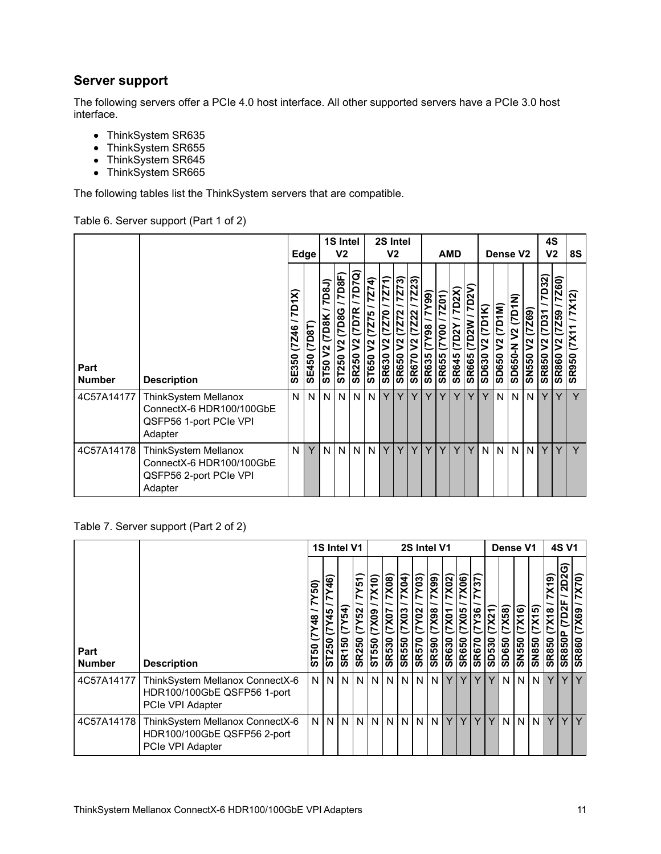### **Server support**

The following servers offer a PCIe 4.0 host interface. All other supported servers have a PCIe 3.0 host interface.

- ThinkSystem SR635
- ThinkSystem SR655
- ThinkSystem SR645
- ThinkSystem SR665

The following tables list the ThinkSystem servers that are compatible.

### Table 6. Server support (Part 1 of 2)

|                       |                                                                                       |                          | Edge                   |                                                    | 1S Intel<br>V <sub>2</sub>              |                                                  |                        | 2S Intel<br>V <sub>2</sub>        |                                                   |                                                            |                                    | <b>AMD</b>                                     |                                                              |                                  |                             | Dense V <sub>2</sub>                    |                             |                                          |                                             | 4S<br>V <sub>2</sub>                                                   | 8S                           |
|-----------------------|---------------------------------------------------------------------------------------|--------------------------|------------------------|----------------------------------------------------|-----------------------------------------|--------------------------------------------------|------------------------|-----------------------------------|---------------------------------------------------|------------------------------------------------------------|------------------------------------|------------------------------------------------|--------------------------------------------------------------|----------------------------------|-----------------------------|-----------------------------------------|-----------------------------|------------------------------------------|---------------------------------------------|------------------------------------------------------------------------|------------------------------|
| Part<br><b>Number</b> | <b>Description</b>                                                                    | 7D1X)<br>(7246)<br>SE350 | (7D8T)<br><b>SE450</b> | 7D8J<br>(7D8K<br>$\boldsymbol{\mathsf{S}}$<br>ST50 | 7D8F)<br>(7D8G)<br>$\tilde{z}$<br>ST250 | 7D7Q)<br>(7D7R<br>$\mathsf{S}^2$<br><b>SR250</b> | ST650 V2 (7275 / 7274) | 7271)<br>V2 (7Z70<br><b>SR630</b> | 7Z73)<br>(7272)<br>V <sub>2</sub><br><b>SR650</b> | 7Z23)<br>(7222)<br>$\overline{\mathsf{V}}$<br><b>SR670</b> | (66)<br><b>86A</b><br><b>SR635</b> | $\overline{201}$<br>N<br>00AZ)<br><b>SR655</b> | D <sub>2X</sub><br>$\approx$<br>≏<br>ヒ<br>မာ<br><b>SR64!</b> | o<br>$\geqslant$<br><b>SR665</b> | (7D1K)<br>N<br><b>SD630</b> | (7D1M)<br>$\frac{2}{3}$<br><b>SD650</b> | <b>V2 (7D1N)</b><br>SD650-N | (7269)<br>$\overline{2}$<br><b>OSSNS</b> | 7D32)<br>1507<br>$\sqrt{2}$<br><b>SR850</b> | $\frac{1}{7260}$<br>(7259)<br>$\overline{\mathsf{V2}}$<br><b>SR860</b> | 7X12<br>(X1)<br><b>SR950</b> |
| 4C57A14177            | ThinkSystem Mellanox<br>ConnectX-6 HDR100/100GbE<br>QSFP56 1-port PCIe VPI<br>Adapter | N                        | N <sub>1</sub>         | N.                                                 | N                                       |                                                  | N N                    | Υ                                 | Y                                                 | Y                                                          | Y                                  | Y                                              | Υ                                                            | Y                                | Y                           | N                                       | N                           | N                                        | Y                                           | Y                                                                      | Y                            |
| 4C57A14178            | ThinkSystem Mellanox<br>ConnectX-6 HDR100/100GbE<br>QSFP56 2-port PCIe VPI<br>Adapter | N                        | Y                      | N.                                                 | N                                       | N N                                              |                        | Y                                 | Y                                                 | Y                                                          | Y                                  | Y                                              | Y                                                            | Y                                | N                           | N                                       | N                           | $\mathsf{N}$                             | Y                                           | Y                                                                      | Y                            |

Table 7. Server support (Part 2 of 2)

|                       |                                                                                    |                                                  | 1S Intel V1                      |                                     |                                       | 2S Intel V1            |                                           |                                              |                                      |                                |                                 |                                             |                                                   |                     |                 | Dense V1                           | <b>4S V1</b>    |                                    |                                                       |                               |
|-----------------------|------------------------------------------------------------------------------------|--------------------------------------------------|----------------------------------|-------------------------------------|---------------------------------------|------------------------|-------------------------------------------|----------------------------------------------|--------------------------------------|--------------------------------|---------------------------------|---------------------------------------------|---------------------------------------------------|---------------------|-----------------|------------------------------------|-----------------|------------------------------------|-------------------------------------------------------|-------------------------------|
| Part<br><b>Number</b> | <b>Description</b>                                                                 | $\overline{50}$<br>N<br>$\frac{8}{4}$<br>50<br>5 | $\mathbf{a}$<br>45<br>N<br>ST250 | $\overline{(7Y54)}$<br><b>SR150</b> | 7Y51)<br><b>(7Y52</b><br><b>SR250</b> | 7X10)<br>(XX)<br>ST550 | 7X08)<br>$\frac{10XL}{2}$<br><b>SR530</b> | $\overline{7}$ X04)<br>(7X03<br><b>SR550</b> | 7Y03)<br><b>CAA2</b><br><b>SR570</b> | 7X99)<br>86XZ)<br><b>SR590</b> | 7X02)<br>(7X01)<br><b>SR630</b> | 7X06<br>$\overline{(7X05)}$<br><b>SR650</b> | $\overline{137}$<br>$05\lambda L$<br><b>SR670</b> | TXZ<br><b>SD530</b> | (85XL)<br>SD650 | $\frac{1}{(7X16)}$<br><b>SN550</b> | (7X15)<br>SN850 | X(9)<br><b>X18</b><br><b>SR850</b> | <b>2D2G</b><br>7D <sub>2F</sub><br>Δ.<br><b>SR850</b> | X70)<br>(7X69<br><b>SR860</b> |
| 4C57A14177            | ThinkSystem Mellanox ConnectX-6<br>HDR100/100GbE QSFP56 1-port<br>PCIe VPI Adapter | ΝI                                               |                                  | <b>NIN</b>                          | N                                     |                        | N I N I                                   | N I                                          | <b>NIN</b>                           |                                | Y                               | Y                                           | v                                                 |                     |                 | N I N I                            | N               | Y                                  | Y                                                     | Y                             |
| 4C57A14178            | ThinkSystem Mellanox ConnectX-6<br>HDR100/100GbE QSFP56 2-port<br>PCIe VPI Adapter | N <sub>1</sub>                                   |                                  | <b>NIN</b>                          | N                                     |                        | <b>NININI</b>                             |                                              | <b>NIN</b>                           |                                | Y                               | Υ                                           | Y                                                 | Y                   |                 | <b>NN</b>                          | N               | Y                                  | YIY                                                   |                               |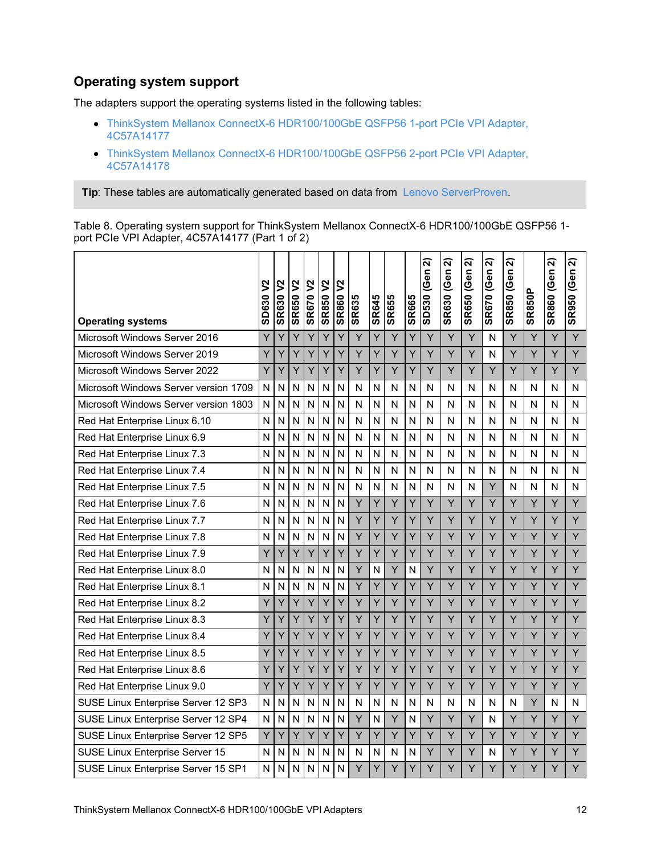### **Operating system support**

The adapters support the operating systems listed in the following tables:

- ThinkSystem Mellanox ConnectX-6 [HDR100/100GbE](#page-12-0) QSFP56 1-port PCIe VPI Adapter, 4C57A14177
- ThinkSystem Mellanox ConnectX-6 [HDR100/100GbE](#page-15-0) QSFP56 2-port PCIe VPI Adapter, 4C57A14178

**Tip**: These tables are automatically generated based on data from Lenovo [ServerProven](https://www.lenovo.com/us/en/serverproven/).

Table 8. Operating system support for ThinkSystem Mellanox ConnectX-6 HDR100/100GbE QSFP56 1 port PCIe VPI Adapter, 4C57A14177 (Part 1 of 2)

| <b>Operating systems</b>              | <b>SD630 V2</b> | <b>SR630 V2</b> | <b>SR650 V2</b>         | <b>SR670 V2</b> | $\boldsymbol{\mathsf{S}}$<br><b>SR850</b> | $\boldsymbol{\mathsf{S}}$<br><b>SR860</b> | <b>SR635</b> | <b>SR645</b> | <b>SR655</b> | <b>SR665</b> | ส<br>SD530 (Gen | ส<br><b>SR630 (Gen</b> | ส<br><b>SR650 (Gen</b> | ନ<br><b>SR670 (Gen</b> | ส<br>SR850 (Gen | <b>SR850P</b> | ส<br><b>SR860 (Gen</b> | ส<br><b>SR950 (Gen</b> |
|---------------------------------------|-----------------|-----------------|-------------------------|-----------------|-------------------------------------------|-------------------------------------------|--------------|--------------|--------------|--------------|-----------------|------------------------|------------------------|------------------------|-----------------|---------------|------------------------|------------------------|
| Microsoft Windows Server 2016         | Ÿ               | Y               | Ý                       | Y               | Y                                         | Ý                                         | Y            | Y            | Y            | Y            | Y               | Ÿ                      | Y                      | Ν                      | Y               | Y             | Y                      | Y                      |
| Microsoft Windows Server 2019         | Y               | Y               | Y                       | Y               | Y                                         | Y                                         | Y            | Y            | Y            | Y            | Ÿ               | Y                      | Y                      | N                      | Y               | Y             | Y                      | Y                      |
| Microsoft Windows Server 2022         | Y               | Y               | Y                       | Y               | Υ                                         | Y                                         | Y            | Υ            | Y            | Υ            | Y               | Y                      | Y                      | Y                      | Y               | Y             | Y                      | Y                      |
| Microsoft Windows Server version 1709 | N               | N               | N                       | N               | N                                         | N                                         | N            | N            | N            | N            | N               | N                      | N                      | N                      | N               | N             | N                      | N                      |
| Microsoft Windows Server version 1803 | N               | N               | N                       | N               | N                                         | N                                         | N            | N            | N            | N            | N               | Ν                      | Ν                      | Ν                      | N               | N             | N                      | N                      |
| Red Hat Enterprise Linux 6.10         | N               | N               | N                       | N               | N                                         | Ν                                         | N            | N            | N            | N            | N               | N                      | Ν                      | N                      | N               | N             | N                      | N                      |
| Red Hat Enterprise Linux 6.9          | N               | N               | N                       | N               | N                                         | N                                         | N            | N            | N            | N            | N               | N                      | N                      | N                      | N               | N             | N                      | N                      |
| Red Hat Enterprise Linux 7.3          | N               | N               | N                       | N               | N                                         | N                                         | N            | N            | N            | N            | N               | N                      | N                      | N                      | N               | N             | N                      | N                      |
| Red Hat Enterprise Linux 7.4          | N               | N               | N                       | N               | N                                         | N                                         | N            | N            | N            | N            | N               | N                      | N                      | N                      | N               | N             | N                      | N                      |
| Red Hat Enterprise Linux 7.5          | N               | N               | $\overline{\mathsf{N}}$ | N               | $\mathsf{N}$                              | N                                         | N            | N            | N            | N            | N               | N                      | N                      | Y                      | N               | N             | N                      | N                      |
| Red Hat Enterprise Linux 7.6          | N               | N               | N                       | N               | N                                         | N                                         | Y            | Y            | Ÿ            | Y            | Ý               | Ÿ                      | Ý                      | Ý                      | Y               | Y             | Y                      | Y                      |
| Red Hat Enterprise Linux 7.7          | N               | N               | N                       | N               | N                                         | Ν                                         | Y            | Υ            | Y            | Ý            | Y               | Y                      | Y                      | Y                      | Y               | Y             | Y                      | Y                      |
| Red Hat Enterprise Linux 7.8          | N               | N               | N                       | N               | N                                         | N                                         | Y            | Y            | Y            | Y            | Ÿ               | Y                      | Y                      | Y                      | Y               | Y             | Y                      | Y                      |
| Red Hat Enterprise Linux 7.9          | Y               | Y               | Y                       | Y               | Y                                         | Y                                         | Y            | Y            | Y            | Y            | Y               | Y                      | Y                      | Y                      | Y               | Y             | Y                      | Y                      |
| Red Hat Enterprise Linux 8.0          | N               | N               | N                       | N               | N                                         | N                                         | Y            | N            | Y            | N            | Y               | Y                      | Y                      | Y                      | Y               | Y             | Y                      | Y                      |
| Red Hat Enterprise Linux 8.1          | N               | N               | N                       | N               | N                                         | N                                         | Y            | Y            | Y            | Y            | Y               | Y                      | Y                      | Y                      | Y               | Y             | Y                      | Y                      |
| Red Hat Enterprise Linux 8.2          | Y               | Y               | Ÿ                       | Y               | Υ                                         | Y                                         | Y            | Y            | Y            | Υ            | Y               | Y                      | Y                      | Y                      | Y               | Y             | Y                      | Y                      |
| Red Hat Enterprise Linux 8.3          | Y               | Y               | Y                       | Ý               | Y                                         | Y                                         | Υ            | Υ            | Ÿ            | Y            | Y               | Y                      | Y                      | Y                      | Y               | Y             | Y                      | Y                      |
| Red Hat Enterprise Linux 8.4          | Ÿ               | Y               | Ý                       | Y               | Y                                         | Y                                         | Y            | Ý            | Ÿ            | Ý            | Ý               | Ý                      | Ÿ                      | Ÿ                      | Y               | Y             | Y                      | Y                      |
| Red Hat Enterprise Linux 8.5          | Y               | Y               | Y                       | Y               | Y                                         | Y                                         | Y            | Y            | Y            | Y            | Y               | Y                      | Y                      | Y                      | Y               | Y             | Y                      | Y                      |
| Red Hat Enterprise Linux 8.6          | Y               | Y               | Y                       | Υ               | Y                                         | Y                                         | Y            | Y            | Y            | Y            | Y               | Y                      | Y                      | Y                      | Y               | Y             | Y                      | Y                      |
| Red Hat Enterprise Linux 9.0          | Ÿ               | Y               | Y                       | Ý               | Y                                         | Ý                                         | Y            | Ý            | Ÿ            | Y            | Ý               | Ÿ                      | Y                      | Ÿ                      | Y               | Ÿ             | Y                      | Y                      |
| SUSE Linux Enterprise Server 12 SP3   | N               | N               | N                       | N               | N                                         | N                                         | N            | N            | N            | N            | N               | N                      | N                      | N                      | N               | Y             | N                      | N                      |
| SUSE Linux Enterprise Server 12 SP4   | $\mathsf{N}$    | N               | N                       | N               | N                                         | N                                         | Y            | N            | Y            | N            | Ÿ               | Y                      | Y                      | N                      | Y               | Y             | Y                      | Y                      |
| SUSE Linux Enterprise Server 12 SP5   | Y               | Y               | Y                       | Y               | Y                                         | Υ                                         | Y            | Y            | Y            | Y            | Y               | Y                      | Y                      | Y                      | Y               | Y             | Y                      | Y                      |
| SUSE Linux Enterprise Server 15       | N               | N               | N                       | N               | N                                         | N                                         | N            | N            | N            | N            | Y               | Y                      | Y                      | N                      | Y               | Y             | Y                      | Y                      |
| SUSE Linux Enterprise Server 15 SP1   | N               | Ν               | N                       | N               | N                                         | Ν                                         | Y            | Y            | Ÿ            | Y            | Ý               | Ÿ                      | Ý                      | Ý                      | Ÿ               | Y             | Y                      | Ÿ                      |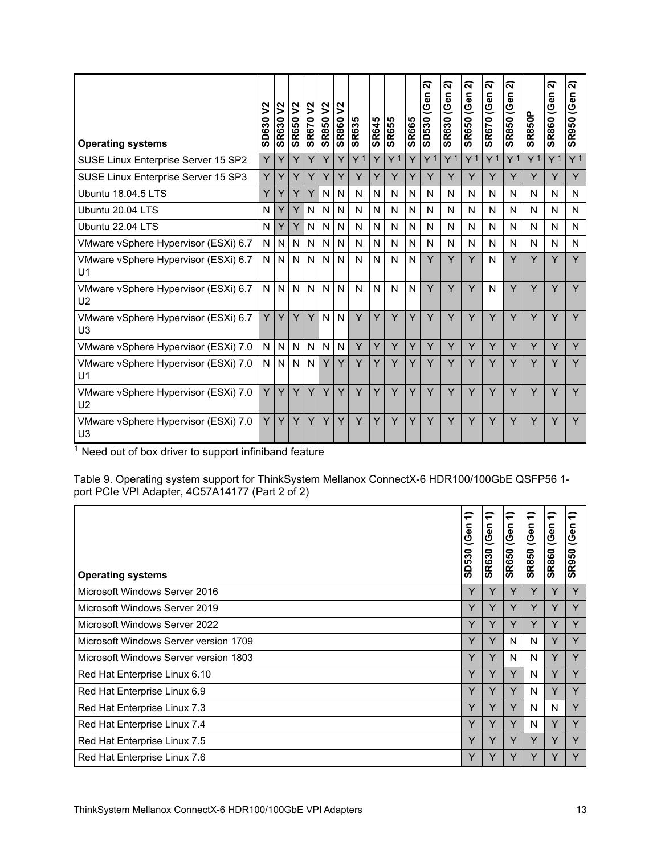<span id="page-12-0"></span>

| <b>Operating systems</b>                               | $\boldsymbol{\mathsf{S}}$<br>SD630 | $\boldsymbol{\mathsf{S}}$<br><b>SR630</b> | $\mathsf{S}^2$<br><b>SR650</b> | $\boldsymbol{\mathsf{S}}$<br><b>SR670</b> | $\overline{S}$<br><b>SR850</b> | v <br><b>SR860</b> | <b>SR635</b> | SR645        | <b>SR655</b>   | <b>SR665</b> | ส<br><b>SD530 (Gen</b> | ส<br><b>SR630 (Gen</b> | ส<br><b>SR650 (Gen</b> | ন<br><b>SR670 (Gen</b> | ส<br><b>SR850 (Gen</b> | <b>SR850P</b>  | ส<br>(Gen<br><b>SR860</b> | ন<br>(Gen<br><b>SR950</b> |
|--------------------------------------------------------|------------------------------------|-------------------------------------------|--------------------------------|-------------------------------------------|--------------------------------|--------------------|--------------|--------------|----------------|--------------|------------------------|------------------------|------------------------|------------------------|------------------------|----------------|---------------------------|---------------------------|
| SUSE Linux Enterprise Server 15 SP2                    | Y                                  | Y                                         | Ÿ                              | Υ                                         | Y                              | Y                  | Y 1          | Y            | Y <sup>1</sup> | Y            | Y <sup>1</sup>         | Y <sup>1</sup>         | Y <sup>1</sup>         | Y <sup>1</sup>         | Y <sup>1</sup>         | Y <sup>1</sup> | Y <sup>1</sup>            | Y <sup>1</sup>            |
| SUSE Linux Enterprise Server 15 SP3                    | Y                                  | Y                                         | Y                              | Y                                         | Y                              | Y                  | Y            | Y            | Y              | Ý            | Y                      | Y                      | Y                      | Y                      | Y                      | Y              | Y                         | Y                         |
| Ubuntu 18.04.5 LTS                                     | Y                                  | Y                                         | Y                              | Υ                                         | N                              | N                  | N            | $\mathsf{N}$ | N              | $\mathsf{N}$ | N                      | N                      | N                      | N                      | N                      | N              | N                         | N                         |
| Ubuntu 20.04 LTS                                       | N                                  | Y                                         | Y                              | $\mathsf{N}$                              | N                              | N                  | N            | $\mathsf{N}$ | N              | N            | N                      | N                      | N                      | N                      | N                      | N              | N                         | N                         |
| Ubuntu 22.04 LTS                                       | N                                  | Y                                         | Y                              | N                                         | N.                             | N                  | N            | N            | N              | N            | N                      | N                      | N                      | N                      | N                      | N              | N                         | N                         |
| VMware vSphere Hypervisor (ESXi) 6.7                   | N                                  | N                                         | N                              | N                                         | N                              | N                  | N            | $\mathsf{N}$ | N              | $\mathsf{N}$ | N                      | N                      | N                      | N                      | N                      | N              | N                         | N                         |
| VMware vSphere Hypervisor (ESXi) 6.7<br>U <sub>1</sub> | N                                  | N                                         | N                              | $\mathsf{N}$                              | N.                             | N                  | N            | N            | N              | N            | Y                      | Y                      | Y                      | N                      | Y                      | Y              | Y                         | Y                         |
| VMware vSphere Hypervisor (ESXi) 6.7<br>U <sub>2</sub> | N                                  | N                                         | $\mathsf{N}$                   | $\mathsf{N}$                              | N.                             | $\mathsf{N}$       | N            | $\mathsf{N}$ | $\mathsf{N}$   | N            | Y                      | Y                      | Y                      | N                      | Y                      | Y              | Y                         | Y                         |
| VMware vSphere Hypervisor (ESXi) 6.7<br>U <sub>3</sub> | Y                                  | Y                                         | Y                              | Y                                         | N.                             | $\mathsf{N}$       | Y            | Y            | Y              | Y            | Y                      | Y                      | Y                      | Y                      | Y                      | Y              | Y                         | Y                         |
| VMware vSphere Hypervisor (ESXi) 7.0                   | N                                  | N                                         | N                              | $\mathsf{N}$                              | N.                             | N                  | Y            | Y            | Y              | Y            | Y                      | Y                      | Y                      | Y                      | Y                      | Y              | Y                         | Y                         |
| VMware vSphere Hypervisor (ESXi) 7.0<br>U <sub>1</sub> | N                                  | N                                         | N                              | IN.                                       | Y                              | Y                  | Y            | Y            | Y              | Y            | Y                      | Y                      | Y                      | Y                      | Y                      | Y              | Y                         | Y                         |
| VMware vSphere Hypervisor (ESXi) 7.0<br>U <sub>2</sub> | Y                                  | Y                                         | Y                              | Y                                         | Y                              | Y                  | Y            | Y            | Y              | Ý            | Y                      | Y                      | Y                      | Y                      | Y                      | Y              | Y                         | Y                         |
| VMware vSphere Hypervisor (ESXi) 7.0<br>U <sub>3</sub> | Y                                  | Y                                         | Y                              | Y                                         | Y                              | Y                  | Y            | Y            | Y              | Y            | Y                      | Y                      | Y                      | Y                      | Y                      | Υ              | Y                         | Y                         |

Table 9. Operating system support for ThinkSystem Mellanox ConnectX-6 HDR100/100GbE QSFP56 1 port PCIe VPI Adapter, 4C57A14177 (Part 2 of 2)

| <b>Operating systems</b>              | $\overline{\phantom{0}}$<br>(Gen<br>SD530 | $\overline{\phantom{0}}$<br>(Gen<br><b>SR630</b> | $\overline{\phantom{0}}$<br>(Gen<br><b>SR650</b> | $\overline{\phantom{0}}$<br>(Gen<br><b>SR850</b> | $\overline{ }$<br>(Gen<br><b>SR860</b> | $\overline{\phantom{0}}$<br>(Gen<br>R950<br>ທ |
|---------------------------------------|-------------------------------------------|--------------------------------------------------|--------------------------------------------------|--------------------------------------------------|----------------------------------------|-----------------------------------------------|
| Microsoft Windows Server 2016         | Y                                         | Y                                                | Y                                                | Y                                                | Y                                      | Y                                             |
| Microsoft Windows Server 2019         | Y                                         | Y                                                | Y                                                | Y                                                | Y                                      | Y                                             |
| Microsoft Windows Server 2022         | Y                                         | Y                                                | Y                                                | Y                                                | Y                                      | Y                                             |
| Microsoft Windows Server version 1709 | Y                                         | Y                                                | N                                                | N                                                | Y                                      | Y                                             |
| Microsoft Windows Server version 1803 | Y                                         | Y                                                | N                                                | N                                                | Y                                      | Y                                             |
| Red Hat Enterprise Linux 6.10         | Y                                         | Y                                                | Y                                                | N                                                | Y                                      | Y                                             |
| Red Hat Enterprise Linux 6.9          | Y                                         | Y                                                | Y                                                | N                                                | Y                                      | Y                                             |
| Red Hat Enterprise Linux 7.3          | Y                                         | Y                                                | Y                                                | N                                                | N                                      | Y                                             |
| Red Hat Enterprise Linux 7.4          | Y                                         | Y                                                | Y                                                | N                                                | Y                                      | Y                                             |
| Red Hat Enterprise Linux 7.5          | Y                                         | Y                                                | Y                                                | Y                                                | Y                                      | Y                                             |
| Red Hat Enterprise Linux 7.6          | Y                                         | Y                                                | Y                                                | Y                                                | Y                                      | Y                                             |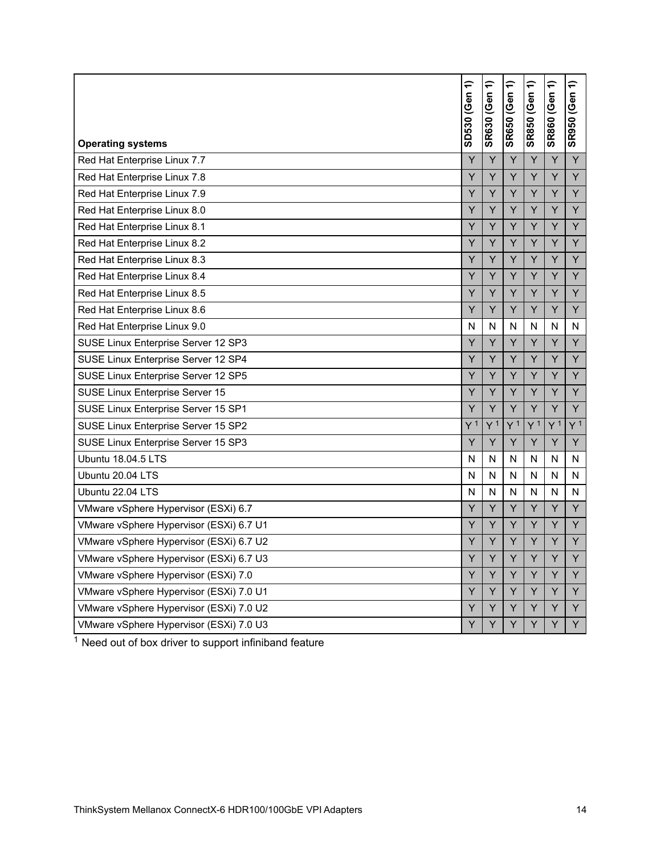| <b>Operating systems</b>                | SD530 (Gen 1)  | SR630 (Gen 1)  | <b>SR650 (Gen 1)</b> | $\widehat{\mathbf{t}}$<br><b>SR850 (Gen</b> | SR860 (Gen 1)  | ╤<br><b>SR950 (Gen</b> |
|-----------------------------------------|----------------|----------------|----------------------|---------------------------------------------|----------------|------------------------|
| Red Hat Enterprise Linux 7.7            | Y              | Y              | Y                    | Y                                           | Y              | Y                      |
| Red Hat Enterprise Linux 7.8            | Ÿ              | Ÿ              | Y                    | Y                                           | Y              | Y                      |
| Red Hat Enterprise Linux 7.9            | Ÿ              | Y              | Y                    | Y                                           | Y              | Y                      |
| Red Hat Enterprise Linux 8.0            | Υ              | Υ              | Υ                    | Υ                                           | Υ              | Υ                      |
| Red Hat Enterprise Linux 8.1            | Y              | Υ              | Υ                    | Y                                           | Y              | Y                      |
| Red Hat Enterprise Linux 8.2            | Y              | Y              | Y                    | Y                                           | Y              | Y                      |
| Red Hat Enterprise Linux 8.3            | Ý              | Ý              | Y                    | Y                                           | Y              | Y                      |
| Red Hat Enterprise Linux 8.4            | Ÿ              | Y              | Y                    | Y                                           | Y              | Y                      |
| Red Hat Enterprise Linux 8.5            | Ÿ              | Y              | Y                    | Υ                                           | Υ              | Υ                      |
| Red Hat Enterprise Linux 8.6            | Υ              | Υ              | Υ                    | Y                                           | Y              | Y                      |
| Red Hat Enterprise Linux 9.0            | N              | Ν              | N                    | N                                           | N              | N                      |
| SUSE Linux Enterprise Server 12 SP3     | Ý              | Ÿ              | Y                    | Y                                           | Y              | Y                      |
| SUSE Linux Enterprise Server 12 SP4     | Ý              | Y              | Y                    | Y                                           | Y              | Y                      |
| SUSE Linux Enterprise Server 12 SP5     | Ÿ              | Ÿ              | Y                    | Y                                           | Y              | Y                      |
| SUSE Linux Enterprise Server 15         | Y              | Υ              | Υ                    | Υ                                           | Υ              | Y                      |
| SUSE Linux Enterprise Server 15 SP1     | Y              | Y              | Y                    | Y                                           | Y              | Y                      |
| SUSE Linux Enterprise Server 15 SP2     | Y <sup>1</sup> | Y <sup>1</sup> | Y <sup>1</sup>       | Y <sup>1</sup>                              | Y <sup>1</sup> | Y <sup>1</sup>         |
| SUSE Linux Enterprise Server 15 SP3     | Υ              | Υ              | Υ                    | Υ                                           | Υ              | Y                      |
| Ubuntu 18.04.5 LTS                      | N              | N              | N                    | N                                           | N              | N                      |
| Ubuntu 20.04 LTS                        | N              | N              | N                    | N                                           | N              | N                      |
| Ubuntu 22.04 LTS                        | N              | N              | N                    | N                                           | N              | N                      |
| VMware vSphere Hypervisor (ESXi) 6.7    | Ý              | Ÿ              | Y                    | Y                                           | Y              | Y                      |
| VMware vSphere Hypervisor (ESXi) 6.7 U1 | Ÿ              | Ÿ              | Y                    | Y                                           | Y              | Y                      |
| VMware vSphere Hypervisor (ESXi) 6.7 U2 | Ÿ              | Y              | Y                    | Y                                           | Υ              | Y                      |
| VMware vSphere Hypervisor (ESXi) 6.7 U3 | Υ              | Υ              | Υ                    | Y                                           | Y              | Y                      |
| VMware vSphere Hypervisor (ESXi) 7.0    | Υ              | Υ              | Υ                    | Y                                           | Υ              | Y                      |
| VMware vSphere Hypervisor (ESXi) 7.0 U1 | Ý              | Ÿ              | Y                    | Y                                           | Y              | Y                      |
| VMware vSphere Hypervisor (ESXi) 7.0 U2 | Ÿ              | Ÿ              | Y                    | Y                                           | Y              | Y                      |
| VMware vSphere Hypervisor (ESXi) 7.0 U3 | Y              | Y              | Y                    | Y                                           | Y              | Y                      |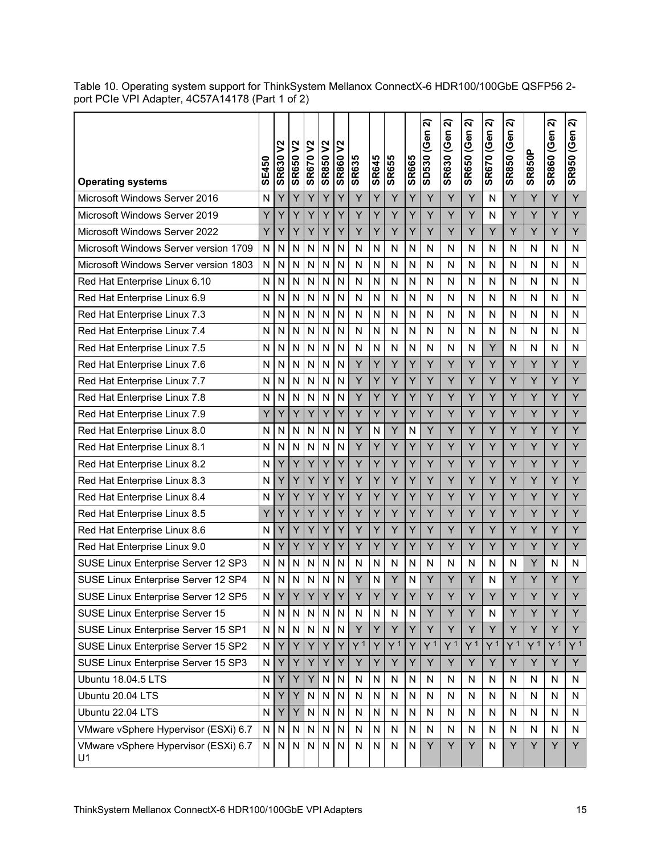| <b>Operating systems</b>                   | SE450     | <b>SR630 V2</b> | <b>SR650V2</b>          | <b>SR670V2</b> | $\mathsf{S}^2$<br><b>SR850</b> | $\mathsf{S}^2$<br><b>SR860</b> | <b>SR635</b>   | SR645        | <b>SR655</b>   | <b>SR665</b> | ส<br>SD530 (Gen | ส<br><b>SR630 (Gen</b> | ล<br><b>SR650 (Gen</b> | ส<br><b>SR670 (Gen</b> | ส<br><b>SR850 (Gen</b> | <b>SR850P</b>  | ส<br><b>SR860 (Gen</b> | ส<br><b>SR950 (Gen</b> |
|--------------------------------------------|-----------|-----------------|-------------------------|----------------|--------------------------------|--------------------------------|----------------|--------------|----------------|--------------|-----------------|------------------------|------------------------|------------------------|------------------------|----------------|------------------------|------------------------|
| Microsoft Windows Server 2016              | N         | Y               | Y                       | Y              | Y                              | Y                              | Y              | Y            | Y              | Y            | Y               | Y                      | Y                      | N                      | Y                      | Y              | Y                      | Y                      |
| Microsoft Windows Server 2019              | Y         | Y               | Y                       | Y              | Y                              | Ý                              | Y              | Y            | Y              | Y            | Y               | Y                      | Y                      | N                      | Y                      | Y              | Y                      | Y                      |
| Microsoft Windows Server 2022              | Υ         | Y               | Y                       | Y              | Y                              | Y                              | Υ              | Y            | Υ              | Y            | Y               | Y                      | Y                      | Υ                      | Y                      | Y              | Y                      | Y                      |
| Microsoft Windows Server version 1709      | N         | N               | N                       | N              | N                              | N                              | N              | N            | N              | N            | N               | N                      | N                      | N                      | N                      | N              | N                      | N                      |
| Microsoft Windows Server version 1803      | N         | N               | N                       | N              | N                              | N                              | N              | N            | N              | N            | N               | N                      | N                      | N                      | N                      | N              | N                      | N                      |
| Red Hat Enterprise Linux 6.10              | N         | N               | N                       | N              | N                              | N                              | N              | N            | N              | N            | N               | N                      | N                      | N                      | N                      | N              | N                      | N                      |
| Red Hat Enterprise Linux 6.9               | N         | N               | N                       | N              | N                              | N                              | N              | N            | $\mathsf{N}$   | N            | N               | N                      | N                      | N                      | N                      | N              | N                      | N                      |
| Red Hat Enterprise Linux 7.3               | N         | N               | N                       | N              | N                              | N                              | N              | N            | N              | N            | N               | N                      | N                      | N                      | N                      | N              | N                      | N                      |
| Red Hat Enterprise Linux 7.4               | N         | N               | N                       | N              | N                              | N                              | N              | N            | N              | N            | N               | N                      | N                      | N                      | N                      | N              | N                      | N                      |
| Red Hat Enterprise Linux 7.5               | N         | N               | N                       | N              | N                              | N                              | N              | N            | N              | N            | N               | N                      | N                      | Y                      | N                      | N              | N                      | N                      |
| Red Hat Enterprise Linux 7.6               | N         | N               | N                       | N              | N                              | N                              | Y              | Y            | Y              | Y            | Y               | Y                      | Y                      | Y                      | Y                      | Y              | Y                      | Y                      |
| Red Hat Enterprise Linux 7.7               | N         | N               | $\overline{\mathsf{N}}$ | N              | N                              | N                              | Υ              | Y            | Υ              | Y            | Y               | Y                      | Y                      | Y                      | Υ                      | Y              | Y                      | Y                      |
| Red Hat Enterprise Linux 7.8               | N         | N               | N                       | N              | N                              | N                              | Y              | Y            | Y              | Y            | Y               | Y                      | Y                      | Y                      | Y                      | Y              | Y                      | Y                      |
| Red Hat Enterprise Linux 7.9               | Υ         | Y               | Y                       | Υ              | Υ                              | Y                              | Y              | Y            | Y              | Y            | Y               | Y                      | Y                      | Y                      | Y                      | Y              | Y                      | Y                      |
| Red Hat Enterprise Linux 8.0               | N         | N               | N                       | N              | N                              | N                              | Y              | N            | Y              | N            | Y               | Y                      | Y                      | Y                      | Y                      | Y              | Y                      | Y                      |
| Red Hat Enterprise Linux 8.1               | N         | N               | N                       | N              | N                              | N                              | Y              | Y            | Y              | Y            | Y               | Y                      | Y                      | Y                      | Y                      | Y              | Y                      | Y                      |
| Red Hat Enterprise Linux 8.2               | N         | Y               | Y                       | Υ              | Y                              | Y                              | Y              | Y            | Y              | Y            | Y               | Y                      | Y                      | Y                      | Υ                      | Y              | Y                      | Y                      |
| Red Hat Enterprise Linux 8.3               | N         | Y               | Y                       | Y              | Y                              | Y                              | Y              | Y            | Y              | Y            | Y               | Y                      | Y                      | Y                      | Y                      | Y              | Y                      | Y                      |
| Red Hat Enterprise Linux 8.4               | N         | Y               | Y                       | Y              | Y                              | Y                              | Υ              | Y            | Y              | Y            | Y               | Υ                      | Y                      | Υ                      | Υ                      | Y              | Y                      | Y                      |
| Red Hat Enterprise Linux 8.5               | Y         | Y               | Y                       | Y              | Ý                              | Y                              | Y              | Ý            | Ÿ              | Y            | Y               | Y                      | Y                      | Y                      | Y                      | Y              | Y                      | Y                      |
| Red Hat Enterprise Linux 8.6               | N         | Y               | Υ                       | Υ              | Y                              | Υ                              | Υ              | Y            | Υ              | Y            | Y               | Υ                      | Y                      | Y                      | Υ                      | Y              | Y                      | Y                      |
| Red Hat Enterprise Linux 9.0               | N         | Y               | Y                       | Y              | Y                              | Y                              | Y              | Y            | Y              | Y            | Y               | Y                      | Y                      | Y                      | Y                      | Y              | Y                      | Y                      |
| SUSE Linux Enterprise Server 12 SP3        | N         | N               | N                       | N              | N                              | N                              | N              | N            | $\mathsf{N}$   | N            | N               | N                      | N                      | N                      | N                      | Y              | N                      | N                      |
| SUSE Linux Enterprise Server 12 SP4        | N         | N               | N                       | N              | N                              | N                              | Y              | N            | Y              | N            | Y               | Y                      | Y                      | N                      | Y                      | Y              | Y                      | Y                      |
| SUSE Linux Enterprise Server 12 SP5        | N         | $\vee$<br>Т.    | $\vee$                  | $\vee$         | $\checkmark$<br>I              | $\vee$                         | $\vee$         | $\vee$       | $\vee$         | $\vee$       | $\vee$          | $\checkmark$           | $\vee$                 | $\vee$                 | $\vee$                 | $\checkmark$   | $\checkmark$           | Y                      |
| SUSE Linux Enterprise Server 15            | N         | N               | $\mathsf{N}$            | N              | N                              | N                              | N              | N            | N              | ${\sf N}$    | Υ               | Y                      | Y                      | N                      | Υ                      | Y              | Y                      | Y                      |
| SUSE Linux Enterprise Server 15 SP1        | ${\sf N}$ | N               | $\mathsf{N}$            | N <sub>1</sub> | $\mathsf{N}$                   | $\overline{\mathsf{N}}$        | Y              | Y            | Y              | Y            | Y               | Y                      | Y                      | Y                      | Y                      | Y              | Y                      | Y                      |
| SUSE Linux Enterprise Server 15 SP2        | N         | Y               | Y                       | Y              | Υ                              | Y                              | Y <sup>1</sup> | Y            | Y <sup>1</sup> | Y            | Y <sup>1</sup>  | Y <sup>1</sup>         | Y <sup>1</sup>         | Y <sup>1</sup>         | Y <sup>1</sup>         | Y <sup>1</sup> | Y <sup>1</sup>         | Y <sup>1</sup>         |
| SUSE Linux Enterprise Server 15 SP3        | N         | Υ               | Y                       | Y.             | Υ                              | Y                              | Υ              | Y            | Y              | Y            | Y               | Υ                      | Y                      | Y                      | Υ                      | Υ              | Y                      | Y                      |
| Ubuntu 18.04.5 LTS                         | N         | Υ               | Y                       | $Y \mid$       | N                              | N                              | $\mathsf{N}$   | ${\sf N}$    | ${\sf N}$      | $\mathsf{N}$ | N               | N                      | N                      | N                      | N                      | N              | N                      | N                      |
| Ubuntu 20.04 LTS                           | N         | Y               | Y                       | N              | N                              | N                              | $\mathsf{N}$   | $\mathsf{N}$ | ${\sf N}$      | $\mathsf{N}$ | N               | N                      | N                      | N                      | N                      | N              | N                      | N                      |
| Ubuntu 22.04 LTS                           | ${\sf N}$ | Y               | Y                       | ${\sf N}$      | $\mathsf{N}$                   | N                              | N              | N            | $\mathsf{N}$   | $\mathsf{N}$ | N               | N                      | N                      | N                      | N                      | N              | N                      | N                      |
| VMware vSphere Hypervisor (ESXi) 6.7       | N         | N               | N                       | N              | N                              | N                              | N              | N            | N              | N            | N               | N                      | N                      | N                      | N                      | N              | N                      | N                      |
| VMware vSphere Hypervisor (ESXi) 6.7<br>U1 | N         | N               | N                       | N              | N                              | N                              | N              | N            | ${\sf N}$      | $\mathsf{N}$ | Y               | Y                      | Y                      | N                      | Υ                      | Y              | Y                      | Y                      |

Table 10. Operating system support for ThinkSystem Mellanox ConnectX-6 HDR100/100GbE QSFP56 2 port PCIe VPI Adapter, 4C57A14178 (Part 1 of 2)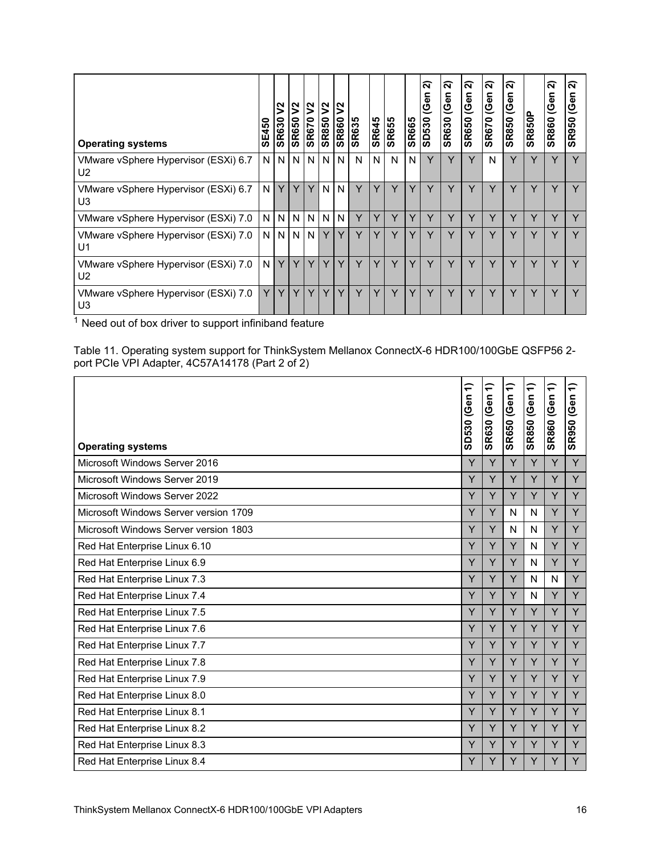<span id="page-15-0"></span>

| <b>Operating systems</b>                               | E450<br>ທ | ષ્ટ<br><b>SR630</b> | $\boldsymbol{\mathsf{S}}$<br><b>SR650</b> | $\boldsymbol{\mathsf{S}}$<br><b>SR670</b> | IS<br>0<br>R85<br><b>S</b> | $\mathsf{S}$<br><b>O988S</b> | <b>SR635</b> | <b>SR645</b> | <b>SR655</b> | <b>SR665</b> | ส<br>(Gen<br><b>SD530</b> | ส<br>(Gen<br><b>SR630</b> | ส<br>(Gen<br><b>SR650</b> | $\widehat{\mathbf{N}}$<br> <br>(၆en<br><b>SR670</b> | $\mathbf{\tilde{N}}$<br>န<br>ବି<br><b>SR850</b> | <b>SR850P</b> | $\mathbf{\tilde{N}}$<br>(Gen<br><b>SR860</b> | $\sim$<br>န<br>ବି<br><b>SR950</b> |
|--------------------------------------------------------|-----------|---------------------|-------------------------------------------|-------------------------------------------|----------------------------|------------------------------|--------------|--------------|--------------|--------------|---------------------------|---------------------------|---------------------------|-----------------------------------------------------|-------------------------------------------------|---------------|----------------------------------------------|-----------------------------------|
| VMware vSphere Hypervisor (ESXi) 6.7<br>U <sub>2</sub> | N.        | N                   |                                           | N IN                                      | N.                         | N.                           | N            | N            | N            | N            | Y                         | v                         | Y                         | N                                                   | Y                                               | v             | $\checkmark$                                 |                                   |
| VMware vSphere Hypervisor (ESXi) 6.7<br>U <sub>3</sub> | N         | Y                   | Y                                         | Y                                         | N                          | N                            | Y            | Y            | Y            | v            | v                         | v                         | v                         | Y                                                   | Y                                               | Y             | v                                            |                                   |
| VMware vSphere Hypervisor (ESXi) 7.0                   | N         | N                   | N                                         | IN.                                       | N <sub>1</sub>             | N.                           | Y            | Y            | Y            |              | Y                         | Y                         | Y                         | Y                                                   | Y                                               | Y             | Υ                                            |                                   |
| VMware vSphere Hypervisor (ESXi) 7.0<br>U <sub>1</sub> | N.        |                     | <b>NNN</b>                                |                                           | Y                          | Υ                            | v            | v            |              |              | v                         | v                         |                           |                                                     | Y                                               | $\checkmark$  | $\check{ }$                                  |                                   |
| VMware vSphere Hypervisor (ESXi) 7.0<br>U <sub>2</sub> | N         | Y                   | Y                                         | Y                                         | Y                          | Y                            | Υ            | Y            | Y            | Y            | v                         | $\check{ }$               | v                         |                                                     | Y                                               |               | ν                                            |                                   |
| VMware vSphere Hypervisor (ESXi) 7.0<br>U <sub>3</sub> | Y         | Y                   | Y                                         | $\vee$                                    | Y                          | Y                            | $\vee$       | v            | $\checkmark$ |              | v                         | $\checkmark$              | $\check{ }$               | v                                                   | Y                                               | v             | v                                            |                                   |

Table 11. Operating system support for ThinkSystem Mellanox ConnectX-6 HDR100/100GbE QSFP56 2 port PCIe VPI Adapter, 4C57A14178 (Part 2 of 2)

|                                       | ╤<br>SD530 (Gen | ╤<br>(Gen<br><b>SR630</b> | ╤<br>SR650 (Gen | ╤<br>SR850 (Gen | ╤<br><b>SR860 (Gen</b> | ╤<br>(Gen<br><b>SR950</b> |
|---------------------------------------|-----------------|---------------------------|-----------------|-----------------|------------------------|---------------------------|
| <b>Operating systems</b>              |                 |                           |                 |                 |                        |                           |
| Microsoft Windows Server 2016         | Y               | Y                         | Y               | Y               | Y                      | Y                         |
| Microsoft Windows Server 2019         | Y               | Y                         | Y               | Y               | Y                      | Y                         |
| Microsoft Windows Server 2022         | Y               | Y                         | Y               | Y               | Y                      | Y                         |
| Microsoft Windows Server version 1709 | Y               | Y                         | N               | N               | Y                      | Y                         |
| Microsoft Windows Server version 1803 | Y               | Y                         | N               | N               | Y                      | Y                         |
| Red Hat Enterprise Linux 6.10         | Y               | Y                         | Y               | N               | Y                      | Y                         |
| Red Hat Enterprise Linux 6.9          | Y               | Y                         | Y               | N               | Y                      | Y                         |
| Red Hat Enterprise Linux 7.3          | Y               | Y                         | Y               | N               | N                      | Y                         |
| Red Hat Enterprise Linux 7.4          | Y               | Y                         | Y               | N               | Y                      | Y                         |
| Red Hat Enterprise Linux 7.5          | Y               | Y                         | Y               | Y               | Y                      | Y                         |
| Red Hat Enterprise Linux 7.6          | Y               | Y                         | Y               | Y               | Y                      | Y                         |
| Red Hat Enterprise Linux 7.7          | Y               | Y                         | Y               | Y               | Y                      | Y                         |
| Red Hat Enterprise Linux 7.8          | Y               | Y                         | Y               | Y               | Y                      | Y                         |
| Red Hat Enterprise Linux 7.9          | Y               | Y                         | Y               | Y               | Y                      | Y                         |
| Red Hat Enterprise Linux 8.0          | Y               | Y                         | Y               | Y               | Y                      | Y                         |
| Red Hat Enterprise Linux 8.1          | Y               | Y                         | Y               | Y               | Y                      | Y                         |
| Red Hat Enterprise Linux 8.2          | Y               | Y                         | Y               | Y               | Y                      | Y                         |
| Red Hat Enterprise Linux 8.3          | Y               | Y                         | Y               | Y               | Y                      | Y                         |
| Red Hat Enterprise Linux 8.4          | Y               | Y                         | Y               | Y               | Y                      | Y                         |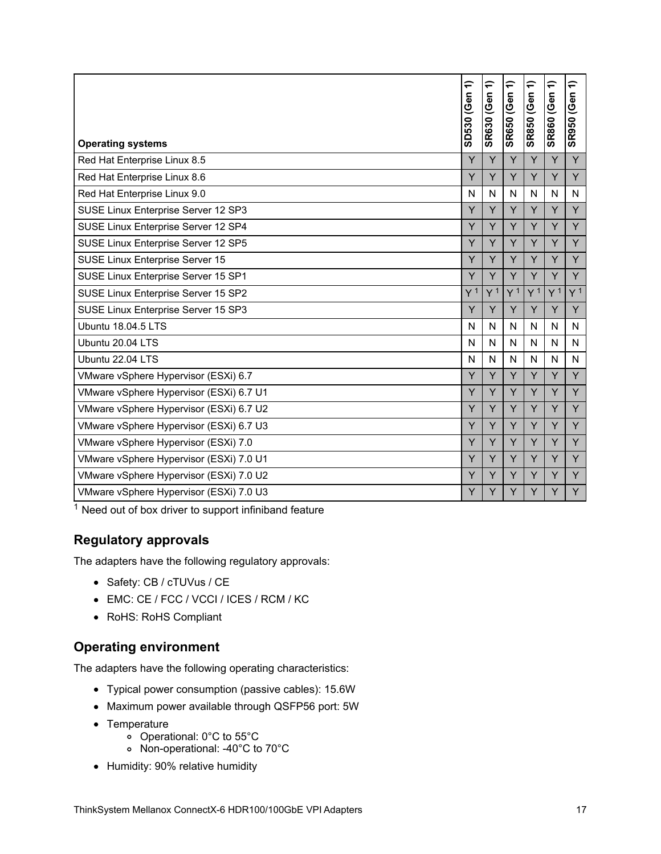| <b>Operating systems</b>                | ╤<br>SD530 (Gen | ╤<br><b>SR630 (Gen</b> | ╤<br><b>SR650 (Gen</b> | ╤<br><b>SR850 (Gen</b> | ╤<br><b>SR860 (Gen</b> | ₽<br><b>SR950 (Gen</b> |
|-----------------------------------------|-----------------|------------------------|------------------------|------------------------|------------------------|------------------------|
| Red Hat Enterprise Linux 8.5            | Y               | Y                      | Y                      | Y                      | Y                      | Y                      |
| Red Hat Enterprise Linux 8.6            | Y               | Y                      | Y                      | Y                      | Y                      | Y                      |
| Red Hat Enterprise Linux 9.0            | N               | N                      | N                      | N                      | N                      | N                      |
| SUSE Linux Enterprise Server 12 SP3     | Ÿ               | Ý                      | Y                      | Y                      | Y                      | Y                      |
| SUSE Linux Enterprise Server 12 SP4     | Ý               | Y                      | Y                      | Y                      | Y                      | Y                      |
| SUSE Linux Enterprise Server 12 SP5     | Ÿ               | Ý                      | Ÿ                      | Y                      | Y                      | Y                      |
| SUSE Linux Enterprise Server 15         | Y               | Y                      | Y                      | Y                      | Y                      | Y                      |
| SUSE Linux Enterprise Server 15 SP1     | Y               | Y                      | Y                      | Y                      | Y                      | Y                      |
| SUSE Linux Enterprise Server 15 SP2     | Y <sup>1</sup>  | Y <sup>1</sup>         | Y <sup>1</sup>         | Y <sup>1</sup>         | Y <sup>1</sup>         | Y <sup>1</sup>         |
| SUSE Linux Enterprise Server 15 SP3     | Y               | Y                      | Υ                      | Y                      | Y                      | Y                      |
| <b>Ubuntu 18.04.5 LTS</b>               | N               | N                      | N                      | N                      | N                      | N                      |
| Ubuntu 20.04 LTS                        | N               | N                      | N                      | N                      | N                      | N                      |
| Ubuntu 22.04 LTS                        | N               | N                      | N                      | N                      | N                      | N                      |
| VMware vSphere Hypervisor (ESXi) 6.7    | Y               | Y                      | Y                      | Y                      | Y                      | Y                      |
| VMware vSphere Hypervisor (ESXi) 6.7 U1 | Y               | Y                      | Y                      | Y                      | Y                      | Y                      |
| VMware vSphere Hypervisor (ESXi) 6.7 U2 | Y               | Y                      | Y                      | Y                      | Y                      | Y                      |
| VMware vSphere Hypervisor (ESXi) 6.7 U3 | Υ               | Y                      | Y                      | Y                      | Y                      | Y                      |
| VMware vSphere Hypervisor (ESXi) 7.0    | Ý               | Ÿ                      | Ÿ                      | Y                      | Y                      | Y                      |
| VMware vSphere Hypervisor (ESXi) 7.0 U1 | Y               | Ý                      | Ÿ                      | Y                      | Y                      | Y                      |
| VMware vSphere Hypervisor (ESXi) 7.0 U2 | Y               | Y                      | Y                      | Y                      | Ý                      | Y                      |
| VMware vSphere Hypervisor (ESXi) 7.0 U3 | Y               | Y                      | Y                      | Y                      | Y                      | Y                      |

# **Regulatory approvals**

The adapters have the following regulatory approvals:

- Safety: CB / cTUVus / CE
- EMC: CE / FCC / VCCI / ICES / RCM / KC
- RoHS: RoHS Compliant

# **Operating environment**

The adapters have the following operating characteristics:

- Typical power consumption (passive cables): 15.6W
- Maximum power available through QSFP56 port: 5W
- Temperature
	- $\overline{\phantom{0}}$  Operational: 0°C to 55°C
	- Non-operational: -40°C to 70°C
- Humidity: 90% relative humidity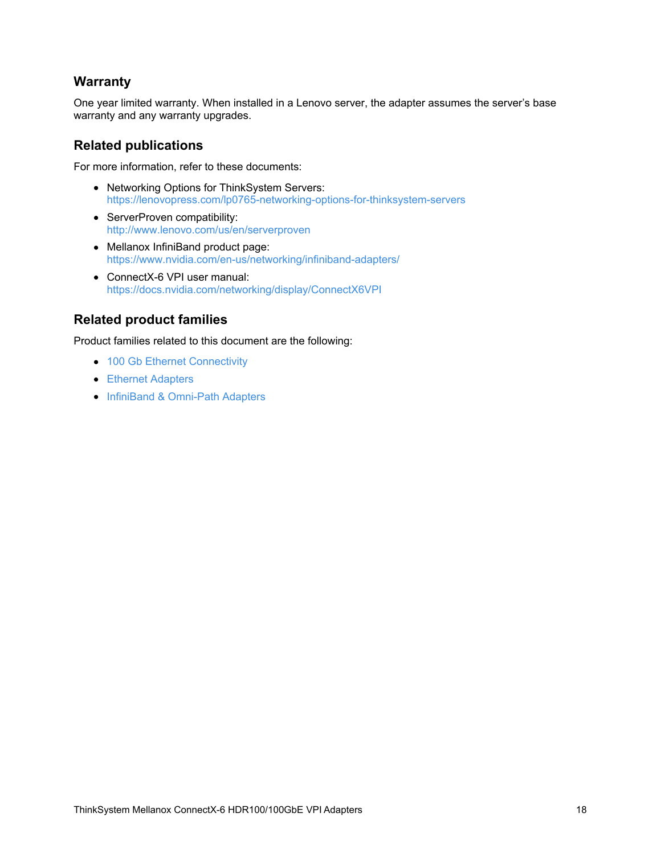### **Warranty**

One year limited warranty. When installed in a Lenovo server, the adapter assumes the server's base warranty and any warranty upgrades.

### **Related publications**

For more information, refer to these documents:

- Networking Options for ThinkSystem Servers: <https://lenovopress.com/lp0765-networking-options-for-thinksystem-servers>
- ServerProven compatibility: <http://www.lenovo.com/us/en/serverproven>
- Mellanox InfiniBand product page: <https://www.nvidia.com/en-us/networking/infiniband-adapters/>
- ConnectX-6 VPI user manual: <https://docs.nvidia.com/networking/display/ConnectX6VPI>

### **Related product families**

Product families related to this document are the following:

- 100 Gb Ethernet [Connectivity](https://lenovopress.com/networking/tor/100Gb)
- **Ethernet [Adapters](https://lenovopress.com/servers/options/ethernet)**
- InfiniBand & [Omni-Path](https://lenovopress.com/servers/options/infiniband) Adapters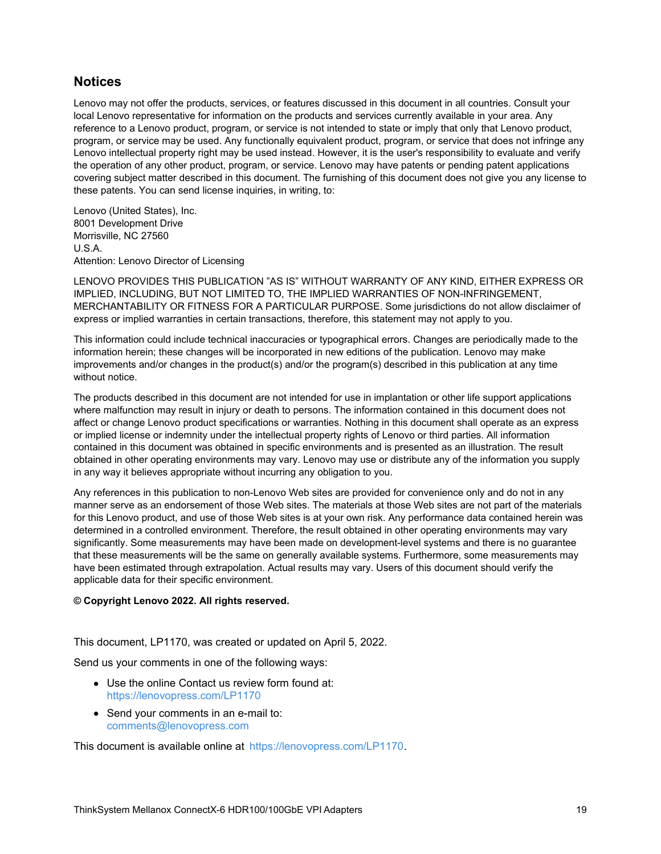### **Notices**

Lenovo may not offer the products, services, or features discussed in this document in all countries. Consult your local Lenovo representative for information on the products and services currently available in your area. Any reference to a Lenovo product, program, or service is not intended to state or imply that only that Lenovo product, program, or service may be used. Any functionally equivalent product, program, or service that does not infringe any Lenovo intellectual property right may be used instead. However, it is the user's responsibility to evaluate and verify the operation of any other product, program, or service. Lenovo may have patents or pending patent applications covering subject matter described in this document. The furnishing of this document does not give you any license to these patents. You can send license inquiries, in writing, to:

Lenovo (United States), Inc. 8001 Development Drive Morrisville, NC 27560 U.S.A. Attention: Lenovo Director of Licensing

LENOVO PROVIDES THIS PUBLICATION "AS IS" WITHOUT WARRANTY OF ANY KIND, EITHER EXPRESS OR IMPLIED, INCLUDING, BUT NOT LIMITED TO, THE IMPLIED WARRANTIES OF NON-INFRINGEMENT, MERCHANTABILITY OR FITNESS FOR A PARTICULAR PURPOSE. Some jurisdictions do not allow disclaimer of express or implied warranties in certain transactions, therefore, this statement may not apply to you.

This information could include technical inaccuracies or typographical errors. Changes are periodically made to the information herein; these changes will be incorporated in new editions of the publication. Lenovo may make improvements and/or changes in the product(s) and/or the program(s) described in this publication at any time without notice.

The products described in this document are not intended for use in implantation or other life support applications where malfunction may result in injury or death to persons. The information contained in this document does not affect or change Lenovo product specifications or warranties. Nothing in this document shall operate as an express or implied license or indemnity under the intellectual property rights of Lenovo or third parties. All information contained in this document was obtained in specific environments and is presented as an illustration. The result obtained in other operating environments may vary. Lenovo may use or distribute any of the information you supply in any way it believes appropriate without incurring any obligation to you.

Any references in this publication to non-Lenovo Web sites are provided for convenience only and do not in any manner serve as an endorsement of those Web sites. The materials at those Web sites are not part of the materials for this Lenovo product, and use of those Web sites is at your own risk. Any performance data contained herein was determined in a controlled environment. Therefore, the result obtained in other operating environments may vary significantly. Some measurements may have been made on development-level systems and there is no guarantee that these measurements will be the same on generally available systems. Furthermore, some measurements may have been estimated through extrapolation. Actual results may vary. Users of this document should verify the applicable data for their specific environment.

#### **© Copyright Lenovo 2022. All rights reserved.**

This document, LP1170, was created or updated on April 5, 2022.

Send us your comments in one of the following ways:

- Use the online Contact us review form found at: <https://lenovopress.com/LP1170>
- Send your comments in an e-mail to: [comments@lenovopress.com](mailto:comments@lenovopress.com?subject=Feedback for LP1170)

This document is available online at <https://lenovopress.com/LP1170>.